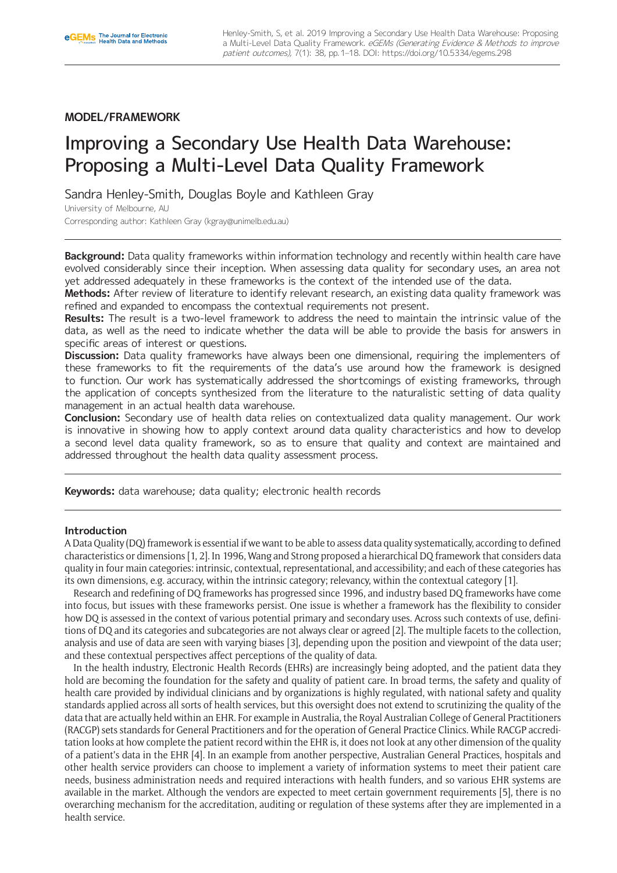# **MODEL/FRAMEWORK**

# Improving a Secondary Use Health Data Warehouse: Proposing a Multi-Level Data Quality Framework

Sandra Henley-Smith, Douglas Boyle and Kathleen Gray

University of Melbourne, AU

Corresponding author: Kathleen Gray [\(kgray@unimelb.edu.au\)](mailto:kgray@unimelb.edu.au)

**Background:** Data quality frameworks within information technology and recently within health care have evolved considerably since their inception. When assessing data quality for secondary uses, an area not yet addressed adequately in these frameworks is the context of the intended use of the data.

**Methods:** After review of literature to identify relevant research, an existing data quality framework was refined and expanded to encompass the contextual requirements not present.

**Results:** The result is a two-level framework to address the need to maintain the intrinsic value of the data, as well as the need to indicate whether the data will be able to provide the basis for answers in specific areas of interest or questions.

**Discussion:** Data quality frameworks have always been one dimensional, requiring the implementers of these frameworks to fit the requirements of the data's use around how the framework is designed to function. Our work has systematically addressed the shortcomings of existing frameworks, through the application of concepts synthesized from the literature to the naturalistic setting of data quality management in an actual health data warehouse.

**Conclusion:** Secondary use of health data relies on contextualized data quality management. Our work is innovative in showing how to apply context around data quality characteristics and how to develop a second level data quality framework, so as to ensure that quality and context are maintained and addressed throughout the health data quality assessment process.

**Keywords:** data warehouse; data quality; electronic health records

#### **Introduction**

A Data Quality (DQ) framework is essential if we want to be able to assess data quality systematically, according to defined characteristics or dimensions [1, 2]. In 1996, Wang and Strong proposed a hierarchical DQ framework that considers data quality in four main categories: intrinsic, contextual, representational, and accessibility; and each of these categories has its own dimensions, e.g. accuracy, within the intrinsic category; relevancy, within the contextual category [1].

Research and redefining of DQ frameworks has progressed since 1996, and industry based DQ frameworks have come into focus, but issues with these frameworks persist. One issue is whether a framework has the flexibility to consider how DQ is assessed in the context of various potential primary and secondary uses. Across such contexts of use, definitions of DQ and its categories and subcategories are not always clear or agreed [2]. The multiple facets to the collection, analysis and use of data are seen with varying biases [3], depending upon the position and viewpoint of the data user; and these contextual perspectives affect perceptions of the quality of data.

In the health industry, Electronic Health Records (EHRs) are increasingly being adopted, and the patient data they hold are becoming the foundation for the safety and quality of patient care. In broad terms, the safety and quality of health care provided by individual clinicians and by organizations is highly regulated, with national safety and quality standards applied across all sorts of health services, but this oversight does not extend to scrutinizing the quality of the data that are actually held within an EHR. For example in Australia, the Royal Australian College of General Practitioners (RACGP) sets standards for General Practitioners and for the operation of General Practice Clinics. While RACGP accreditation looks at how complete the patient record within the EHR is, it does not look at any other dimension of the quality of a patient's data in the EHR [4]. In an example from another perspective, Australian General Practices, hospitals and other health service providers can choose to implement a variety of information systems to meet their patient care needs, business administration needs and required interactions with health funders, and so various EHR systems are available in the market. Although the vendors are expected to meet certain government requirements [5], there is no overarching mechanism for the accreditation, auditing or regulation of these systems after they are implemented in a health service.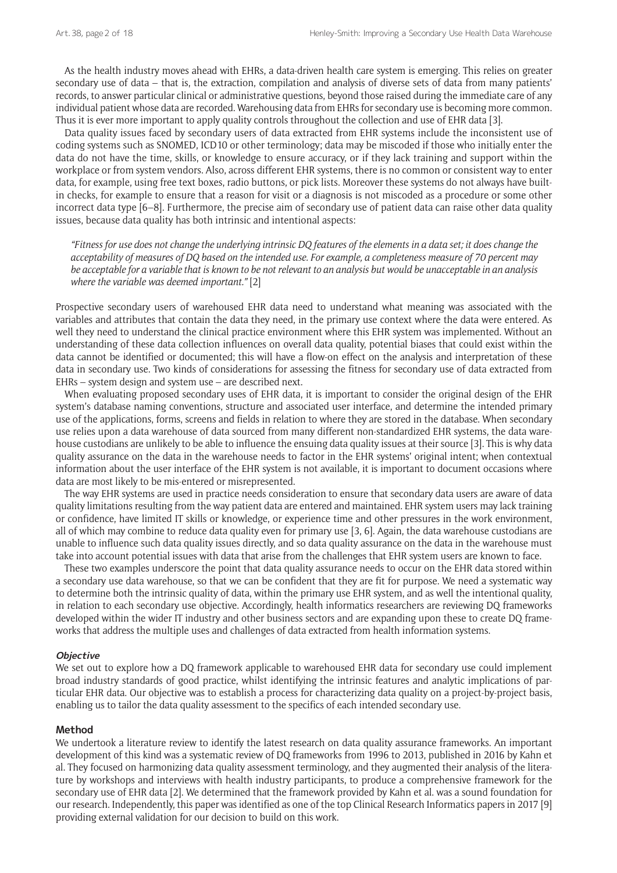As the health industry moves ahead with EHRs, a data-driven health care system is emerging. This relies on greater secondary use of data – that is, the extraction, compilation and analysis of diverse sets of data from many patients' records, to answer particular clinical or administrative questions, beyond those raised during the immediate care of any individual patient whose data are recorded. Warehousing data from EHRs for secondary use is becoming more common. Thus it is ever more important to apply quality controls throughout the collection and use of EHR data [3].

Data quality issues faced by secondary users of data extracted from EHR systems include the inconsistent use of coding systems such as SNOMED, ICD10 or other terminology; data may be miscoded if those who initially enter the data do not have the time, skills, or knowledge to ensure accuracy, or if they lack training and support within the workplace or from system vendors. Also, across different EHR systems, there is no common or consistent way to enter data, for example, using free text boxes, radio buttons, or pick lists. Moreover these systems do not always have builtin checks, for example to ensure that a reason for visit or a diagnosis is not miscoded as a procedure or some other incorrect data type [6–8]. Furthermore, the precise aim of secondary use of patient data can raise other data quality issues, because data quality has both intrinsic and intentional aspects:

*"Fitness for use does not change the underlying intrinsic DQ features of the elements in a data set; it does change the acceptability of measures of DQ based on the intended use. For example, a completeness measure of 70 percent may be acceptable for a variable that is known to be not relevant to an analysis but would be unacceptable in an analysis where the variable was deemed important."* [2]

Prospective secondary users of warehoused EHR data need to understand what meaning was associated with the variables and attributes that contain the data they need, in the primary use context where the data were entered. As well they need to understand the clinical practice environment where this EHR system was implemented. Without an understanding of these data collection influences on overall data quality, potential biases that could exist within the data cannot be identified or documented; this will have a flow-on effect on the analysis and interpretation of these data in secondary use. Two kinds of considerations for assessing the fitness for secondary use of data extracted from EHRs – system design and system use – are described next.

When evaluating proposed secondary uses of EHR data, it is important to consider the original design of the EHR system's database naming conventions, structure and associated user interface, and determine the intended primary use of the applications, forms, screens and fields in relation to where they are stored in the database. When secondary use relies upon a data warehouse of data sourced from many different non-standardized EHR systems, the data warehouse custodians are unlikely to be able to influence the ensuing data quality issues at their source [3]. This is why data quality assurance on the data in the warehouse needs to factor in the EHR systems' original intent; when contextual information about the user interface of the EHR system is not available, it is important to document occasions where data are most likely to be mis-entered or misrepresented.

The way EHR systems are used in practice needs consideration to ensure that secondary data users are aware of data quality limitations resulting from the way patient data are entered and maintained. EHR system users may lack training or confidence, have limited IT skills or knowledge, or experience time and other pressures in the work environment, all of which may combine to reduce data quality even for primary use [3, 6]. Again, the data warehouse custodians are unable to influence such data quality issues directly, and so data quality assurance on the data in the warehouse must take into account potential issues with data that arise from the challenges that EHR system users are known to face.

These two examples underscore the point that data quality assurance needs to occur on the EHR data stored within a secondary use data warehouse, so that we can be confident that they are fit for purpose. We need a systematic way to determine both the intrinsic quality of data, within the primary use EHR system, and as well the intentional quality, in relation to each secondary use objective. Accordingly, health informatics researchers are reviewing DQ frameworks developed within the wider IT industry and other business sectors and are expanding upon these to create DQ frameworks that address the multiple uses and challenges of data extracted from health information systems.

#### **Objective**

We set out to explore how a DQ framework applicable to warehoused EHR data for secondary use could implement broad industry standards of good practice, whilst identifying the intrinsic features and analytic implications of particular EHR data. Our objective was to establish a process for characterizing data quality on a project-by-project basis, enabling us to tailor the data quality assessment to the specifics of each intended secondary use.

#### **Method**

We undertook a literature review to identify the latest research on data quality assurance frameworks. An important development of this kind was a systematic review of DQ frameworks from 1996 to 2013, published in 2016 by Kahn et al. They focused on harmonizing data quality assessment terminology, and they augmented their analysis of the literature by workshops and interviews with health industry participants, to produce a comprehensive framework for the secondary use of EHR data [2]. We determined that the framework provided by Kahn et al. was a sound foundation for our research. Independently, this paper was identified as one of the top Clinical Research Informatics papers in 2017 [9] providing external validation for our decision to build on this work.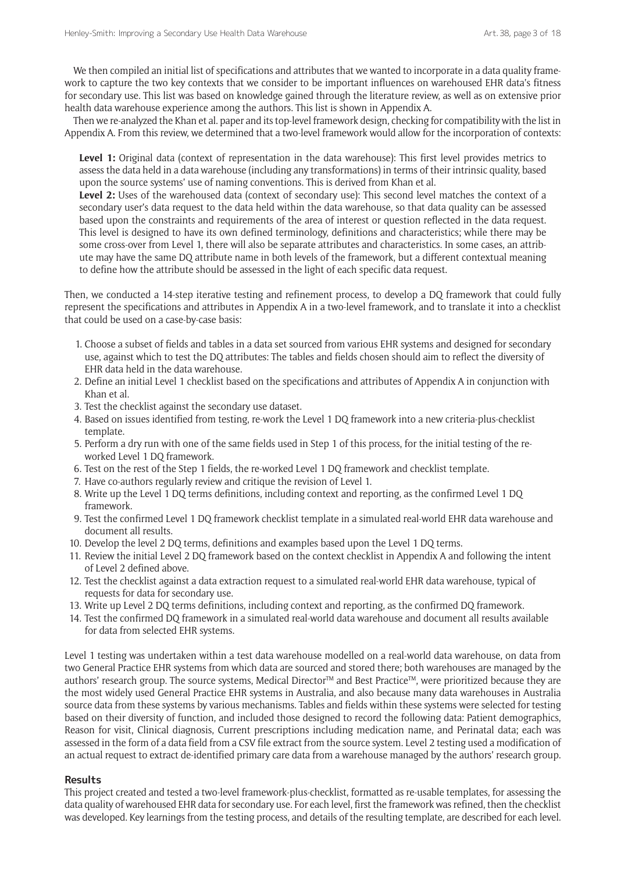We then compiled an initial list of specifications and attributes that we wanted to incorporate in a data quality framework to capture the two key contexts that we consider to be important influences on warehoused EHR data's fitness for secondary use. This list was based on knowledge gained through the literature review, as well as on extensive prior health data warehouse experience among the authors. This list is shown in Appendix A.

Then we re-analyzed the Khan et al. paper and its top-level framework design, checking for compatibility with the list in Appendix A. From this review, we determined that a two-level framework would allow for the incorporation of contexts:

**Level 1:** Original data (context of representation in the data warehouse): This first level provides metrics to assess the data held in a data warehouse (including any transformations) in terms of their intrinsic quality, based upon the source systems' use of naming conventions. This is derived from Khan et al.

Level 2: Uses of the warehoused data (context of secondary use): This second level matches the context of a secondary user's data request to the data held within the data warehouse, so that data quality can be assessed based upon the constraints and requirements of the area of interest or question reflected in the data request. This level is designed to have its own defined terminology, definitions and characteristics; while there may be some cross-over from Level 1, there will also be separate attributes and characteristics. In some cases, an attribute may have the same DQ attribute name in both levels of the framework, but a different contextual meaning to define how the attribute should be assessed in the light of each specific data request.

Then, we conducted a 14-step iterative testing and refinement process, to develop a DQ framework that could fully represent the specifications and attributes in Appendix A in a two-level framework, and to translate it into a checklist that could be used on a case-by-case basis:

- 1. Choose a subset of fields and tables in a data set sourced from various EHR systems and designed for secondary use, against which to test the DQ attributes: The tables and fields chosen should aim to reflect the diversity of EHR data held in the data warehouse.
- 2. Define an initial Level 1 checklist based on the specifications and attributes of Appendix A in conjunction with Khan et al.
- 3. Test the checklist against the secondary use dataset.
- 4. Based on issues identified from testing, re-work the Level 1 DQ framework into a new criteria-plus-checklist template.
- 5. Perform a dry run with one of the same fields used in Step 1 of this process, for the initial testing of the reworked Level 1 DQ framework.
- 6. Test on the rest of the Step 1 fields, the re-worked Level 1 DQ framework and checklist template.
- 7. Have co-authors regularly review and critique the revision of Level 1.
- 8. Write up the Level 1 DQ terms definitions, including context and reporting, as the confirmed Level 1 DQ framework.
- 9. Test the confirmed Level 1 DQ framework checklist template in a simulated real-world EHR data warehouse and document all results.
- 10. Develop the level 2 DQ terms, definitions and examples based upon the Level 1 DQ terms.
- 11. Review the initial Level 2 DQ framework based on the context checklist in Appendix A and following the intent of Level 2 defined above.
- 12. Test the checklist against a data extraction request to a simulated real-world EHR data warehouse, typical of requests for data for secondary use.
- 13. Write up Level 2 DQ terms definitions, including context and reporting, as the confirmed DQ framework.
- 14. Test the confirmed DQ framework in a simulated real-world data warehouse and document all results available for data from selected EHR systems.

Level 1 testing was undertaken within a test data warehouse modelled on a real-world data warehouse, on data from two General Practice EHR systems from which data are sourced and stored there; both warehouses are managed by the authors' research group. The source systems, Medical Director™ and Best Practice™, were prioritized because they are the most widely used General Practice EHR systems in Australia, and also because many data warehouses in Australia source data from these systems by various mechanisms. Tables and fields within these systems were selected for testing based on their diversity of function, and included those designed to record the following data: Patient demographics, Reason for visit, Clinical diagnosis, Current prescriptions including medication name, and Perinatal data; each was assessed in the form of a data field from a CSV file extract from the source system. Level 2 testing used a modification of an actual request to extract de-identified primary care data from a warehouse managed by the authors' research group.

#### **Results**

This project created and tested a two-level framework-plus-checklist, formatted as re-usable templates, for assessing the data quality of warehoused EHR data for secondary use. For each level, first the framework was refined, then the checklist was developed. Key learnings from the testing process, and details of the resulting template, are described for each level.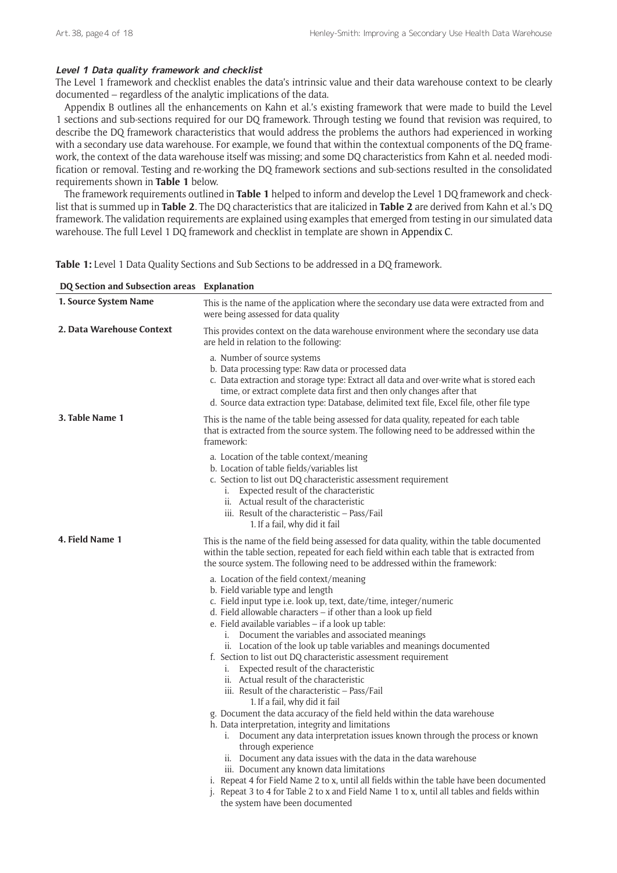#### **Level 1 Data quality framework and checklist**

The Level 1 framework and checklist enables the data's intrinsic value and their data warehouse context to be clearly documented – regardless of the analytic implications of the data.

Appendix B outlines all the enhancements on Kahn et al.'s existing framework that were made to build the Level 1 sections and sub-sections required for our DQ framework. Through testing we found that revision was required, to describe the DQ framework characteristics that would address the problems the authors had experienced in working with a secondary use data warehouse. For example, we found that within the contextual components of the DQ framework, the context of the data warehouse itself was missing; and some DQ characteristics from Kahn et al. needed modification or removal. Testing and re-working the DQ framework sections and sub-sections resulted in the consolidated requirements shown in **Table 1** below.

The framework requirements outlined in **Table 1** helped to inform and develop the Level 1 DQ framework and checklist that is summed up in **Table 2**. The DQ characteristics that are italicized in **Table 2** are derived from Kahn et al.'s DQ framework. The validation requirements are explained using examples that emerged from testing in our simulated data warehouse. The full Level 1 DQ framework and checklist in template are shown in Appendix C.

**Table 1:** Level 1 Data Quality Sections and Sub Sections to be addressed in a DQ framework.

| This is the name of the application where the secondary use data were extracted from and<br>were being assessed for data quality                                                                                                                                                                                                                                                                                                                                                                                                                                                                                                                                                                                                                                                                                                                                                                                                                                                                                                                                                                                                                                                                                                           |
|--------------------------------------------------------------------------------------------------------------------------------------------------------------------------------------------------------------------------------------------------------------------------------------------------------------------------------------------------------------------------------------------------------------------------------------------------------------------------------------------------------------------------------------------------------------------------------------------------------------------------------------------------------------------------------------------------------------------------------------------------------------------------------------------------------------------------------------------------------------------------------------------------------------------------------------------------------------------------------------------------------------------------------------------------------------------------------------------------------------------------------------------------------------------------------------------------------------------------------------------|
| This provides context on the data warehouse environment where the secondary use data<br>are held in relation to the following:                                                                                                                                                                                                                                                                                                                                                                                                                                                                                                                                                                                                                                                                                                                                                                                                                                                                                                                                                                                                                                                                                                             |
| a. Number of source systems<br>b. Data processing type: Raw data or processed data<br>c. Data extraction and storage type: Extract all data and over-write what is stored each<br>time, or extract complete data first and then only changes after that<br>d. Source data extraction type: Database, delimited text file, Excel file, other file type                                                                                                                                                                                                                                                                                                                                                                                                                                                                                                                                                                                                                                                                                                                                                                                                                                                                                      |
| This is the name of the table being assessed for data quality, repeated for each table<br>that is extracted from the source system. The following need to be addressed within the<br>framework:                                                                                                                                                                                                                                                                                                                                                                                                                                                                                                                                                                                                                                                                                                                                                                                                                                                                                                                                                                                                                                            |
| a. Location of the table context/meaning<br>b. Location of table fields/variables list<br>c. Section to list out DQ characteristic assessment requirement<br>i. Expected result of the characteristic<br>ii. Actual result of the characteristic<br>iii. Result of the characteristic - Pass/Fail<br>1. If a fail, why did it fail                                                                                                                                                                                                                                                                                                                                                                                                                                                                                                                                                                                                                                                                                                                                                                                                                                                                                                         |
| This is the name of the field being assessed for data quality, within the table documented<br>within the table section, repeated for each field within each table that is extracted from<br>the source system. The following need to be addressed within the framework:                                                                                                                                                                                                                                                                                                                                                                                                                                                                                                                                                                                                                                                                                                                                                                                                                                                                                                                                                                    |
| a. Location of the field context/meaning<br>b. Field variable type and length<br>c. Field input type i.e. look up, text, date/time, integer/numeric<br>d. Field allowable characters - if other than a look up field<br>e. Field available variables – if a look up table:<br>i. Document the variables and associated meanings<br>ii. Location of the look up table variables and meanings documented<br>f. Section to list out DQ characteristic assessment requirement<br>i. Expected result of the characteristic<br>ii. Actual result of the characteristic<br>iii. Result of the characteristic - Pass/Fail<br>1. If a fail, why did it fail<br>g. Document the data accuracy of the field held within the data warehouse<br>h. Data interpretation, integrity and limitations<br>i. Document any data interpretation issues known through the process or known<br>through experience<br>ii. Document any data issues with the data in the data warehouse<br>iii. Document any known data limitations<br>i. Repeat 4 for Field Name 2 to x, until all fields within the table have been documented<br>j. Repeat 3 to 4 for Table 2 to x and Field Name 1 to x, until all tables and fields within<br>the system have been documented |
|                                                                                                                                                                                                                                                                                                                                                                                                                                                                                                                                                                                                                                                                                                                                                                                                                                                                                                                                                                                                                                                                                                                                                                                                                                            |

**DQ Section and Subsection areas Explanation**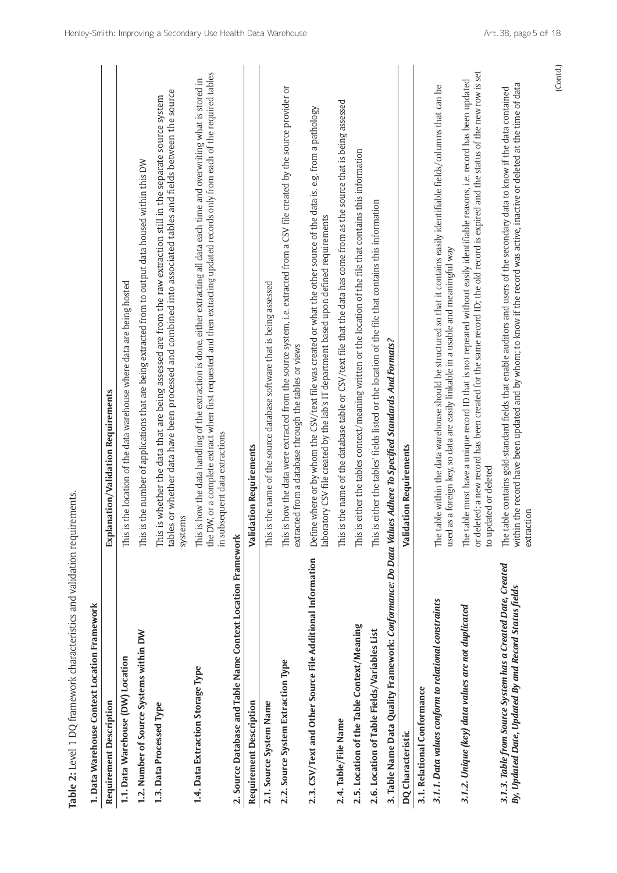| 1. Data Warehouse Context Location Framework<br><b>Requirement Description</b>                                       | Explanation/Validation Requirements                                                                                                                                                                                                                                                               |
|----------------------------------------------------------------------------------------------------------------------|---------------------------------------------------------------------------------------------------------------------------------------------------------------------------------------------------------------------------------------------------------------------------------------------------|
|                                                                                                                      |                                                                                                                                                                                                                                                                                                   |
| 1.1. Data Warehouse (DW) Location                                                                                    | is the location of the data warehouse where data are being hosted<br>This i                                                                                                                                                                                                                       |
| 1.2. Number of Source Systems within DW                                                                              | This is the number of applications that are being extracted from to output data housed within this DW                                                                                                                                                                                             |
| 1.3. Data Processed Type                                                                                             | tables or whether data have been processed and combined into associated tables and fields between the source<br>This is whether the data that are being assessed are from the raw extraction still in the separate source system<br>systems                                                       |
| 1.4. Data Extraction Storage Type                                                                                    | the DW, or a complete extract when first requested and then extracting updated records only from each of the required tables<br>This is how the data handling of the extraction is done, either extracting all data each time and overwriting what is stored in<br>in subsequent data extractions |
| 2. Source Database and Table Name Context Location Framework                                                         |                                                                                                                                                                                                                                                                                                   |
| <b>Requirement Description</b>                                                                                       | <b>Validation Requirements</b>                                                                                                                                                                                                                                                                    |
| 2.1. Source System Name                                                                                              | is the name of the source database software that is being assessed<br>This                                                                                                                                                                                                                        |
| 2.2. Source System Extraction Type                                                                                   | is how the data were extracted from the source system, i.e. extracted from a CSV file created by the source provider or<br>extracted from a database through the tables or views<br>This i                                                                                                        |
| 2.3. CSV/Text and Other Source File Additional Information                                                           | Define where or by whom the CSV/text file was created or what the other source of the data is, e.g. from a pathology<br>laboratory CSV file created by the lab's IT department based upon defined requirements                                                                                    |
| 2.4. Table/File Name                                                                                                 | This is the name of the database table or CSV/text file that the data has come from as the source that is being assessed                                                                                                                                                                          |
| 2.5. Location of the Table Context/Meaning                                                                           | This is either the tables context/meaning written or the location of the file that contains this information                                                                                                                                                                                      |
| 2.6. Location of Table Fields/Variables List                                                                         | is either the tables' fields listed or the location of the file that contains this information<br>This i                                                                                                                                                                                          |
| 3. Table Name Data Quality Framework: <i>Conformance: Do Data Values Adhere To Specified Standards And Formats?</i>  |                                                                                                                                                                                                                                                                                                   |
| DQ Characteristic                                                                                                    | <b>Validation Requirements</b>                                                                                                                                                                                                                                                                    |
| 3.1. Relational Conformance                                                                                          |                                                                                                                                                                                                                                                                                                   |
| 3.1.1. Data values conform to relational constraints                                                                 | The table within the data warehouse should be structured so that it contains easily identifiable fields/columns that can be<br>used as a foreign key, so data are easily linkable in a usable and meaningful way                                                                                  |
| 3.1.2. Unique (key) data values are not duplicated                                                                   | or deleted; a new record has been created for the same record ID; the old record is expired and the status of the new row is set<br>The table must have a unique record ID that is not repeated without easily identifiable reasons, i.e. record has been updated<br>to updated or deleted        |
| 3.1.3. Table from Source System has a Created Date, Created<br>By, Updated Date, Updated By and Record Status fields | within the record have been updated and by whom; to know if the record was active, inactive or deleted at the time of data<br>The table contains gold-standard fields that enable auditors and users of the secondary data to know if the data contained<br>extraction                            |
|                                                                                                                      | (Contd.)                                                                                                                                                                                                                                                                                          |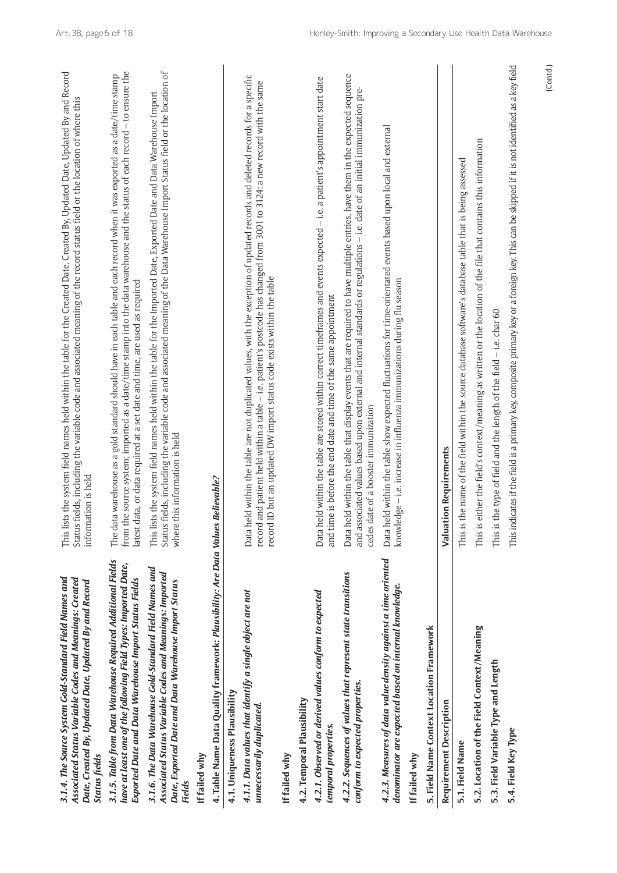| Data held within the table show expected fluctuations for time-orientated events based upon local and external<br>is either the field's context/meaning as written or the location of the file that contains this information<br>is the name of the field within the source database software's database table that is being assessed<br>record ID but an updated DW import status code exists within the table<br>knowledge – i.e. increase in influenza immunizations during flu season<br>latest data, or data required at a set date and time, are used as required<br>and time is before the end date and time of the same appointment<br>is the type of field and the length of the field - i.e. char 60<br>cedes date of a booster immunization<br>where this information is held<br>Valuation Requirements<br>es Believable?<br>4. Table Name Data Quality framework: <i>Plausibility: Are Data Valu</i><br>This<br>This<br>This<br>4.2.3. Measures of data value density against a time oriented<br>3.1.5. Table from Data Warehouse Required Additional Fields<br>have at least one of the following Field Types: Imported Date,<br>3.1.6. The Data Warehouse Gold-Standard Field Names and<br>Associated Status Variable Codes and Meanings: Imported<br>4.2.2. Sequences of values that represent state transitions<br>Exported Date and Data Warehouse Import Status Fields<br>Date, Exported Date and Data Warehouse Import Status<br>denominator are expected based on internal knowledge.<br>4.1.1. Data values that identify a single object are not<br>4.2.1. Observed or derived values conform to expected<br>5. Field Name Context Location Framework<br>5.2. Location of the Field Context/Meaning<br>5.3. Field Variable Type and Length<br>conform to expected properties.<br>4.1. Uniqueness Plausibility<br>4.2. Temporal Plausibility<br><b>Requirement Description</b><br>unnecessarily duplicated.<br>temporal properties.<br>5.4. Field Key Type<br>5.1. Field Name<br>If failed why<br>If failed why<br>If failed why<br><b>Fields</b> | 3.1.4. The Source System Gold-Standard Field Names and<br>Associated Status Variable Codes and Meanings: Created<br>Date, Created By, Updated Date, Updated By and Record<br><b>Status fields</b> | This lists the system field names held within the table for the Created Date, Created By, Updated Date, Updated By and Record<br>Status fields, including the variable code and associated meaning of the record status field or the location of where this<br>information is held |
|-----------------------------------------------------------------------------------------------------------------------------------------------------------------------------------------------------------------------------------------------------------------------------------------------------------------------------------------------------------------------------------------------------------------------------------------------------------------------------------------------------------------------------------------------------------------------------------------------------------------------------------------------------------------------------------------------------------------------------------------------------------------------------------------------------------------------------------------------------------------------------------------------------------------------------------------------------------------------------------------------------------------------------------------------------------------------------------------------------------------------------------------------------------------------------------------------------------------------------------------------------------------------------------------------------------------------------------------------------------------------------------------------------------------------------------------------------------------------------------------------------------------------------------------------------------------------------------------------------------------------------------------------------------------------------------------------------------------------------------------------------------------------------------------------------------------------------------------------------------------------------------------------------------------------------------------------------------------------------------------------------------------------------------------------------------------------|---------------------------------------------------------------------------------------------------------------------------------------------------------------------------------------------------|------------------------------------------------------------------------------------------------------------------------------------------------------------------------------------------------------------------------------------------------------------------------------------|
|                                                                                                                                                                                                                                                                                                                                                                                                                                                                                                                                                                                                                                                                                                                                                                                                                                                                                                                                                                                                                                                                                                                                                                                                                                                                                                                                                                                                                                                                                                                                                                                                                                                                                                                                                                                                                                                                                                                                                                                                                                                                       |                                                                                                                                                                                                   | from the source system; imported as a date/time stamp into the data warehouse and the status of each record – to ensure the<br>The data warehouse as a gold standard should have in each table and each record when it was exported as a date/time stamp                           |
|                                                                                                                                                                                                                                                                                                                                                                                                                                                                                                                                                                                                                                                                                                                                                                                                                                                                                                                                                                                                                                                                                                                                                                                                                                                                                                                                                                                                                                                                                                                                                                                                                                                                                                                                                                                                                                                                                                                                                                                                                                                                       |                                                                                                                                                                                                   | Status fields, including the variable code and associated meaning of the Data Warehouse Import Status field or the location of<br>This lists the system field names held within the table for the Imported Date, Exported Date and Data Warehouse Import                           |
|                                                                                                                                                                                                                                                                                                                                                                                                                                                                                                                                                                                                                                                                                                                                                                                                                                                                                                                                                                                                                                                                                                                                                                                                                                                                                                                                                                                                                                                                                                                                                                                                                                                                                                                                                                                                                                                                                                                                                                                                                                                                       |                                                                                                                                                                                                   |                                                                                                                                                                                                                                                                                    |
|                                                                                                                                                                                                                                                                                                                                                                                                                                                                                                                                                                                                                                                                                                                                                                                                                                                                                                                                                                                                                                                                                                                                                                                                                                                                                                                                                                                                                                                                                                                                                                                                                                                                                                                                                                                                                                                                                                                                                                                                                                                                       |                                                                                                                                                                                                   |                                                                                                                                                                                                                                                                                    |
|                                                                                                                                                                                                                                                                                                                                                                                                                                                                                                                                                                                                                                                                                                                                                                                                                                                                                                                                                                                                                                                                                                                                                                                                                                                                                                                                                                                                                                                                                                                                                                                                                                                                                                                                                                                                                                                                                                                                                                                                                                                                       |                                                                                                                                                                                                   |                                                                                                                                                                                                                                                                                    |
|                                                                                                                                                                                                                                                                                                                                                                                                                                                                                                                                                                                                                                                                                                                                                                                                                                                                                                                                                                                                                                                                                                                                                                                                                                                                                                                                                                                                                                                                                                                                                                                                                                                                                                                                                                                                                                                                                                                                                                                                                                                                       |                                                                                                                                                                                                   | Data held within the table are not duplicated values, with the exception of updated records and deleted records for a specific<br>record and patient held within a table – i.e. patient's postcode has changed from 3001 to 3124: a new record with the same                       |
|                                                                                                                                                                                                                                                                                                                                                                                                                                                                                                                                                                                                                                                                                                                                                                                                                                                                                                                                                                                                                                                                                                                                                                                                                                                                                                                                                                                                                                                                                                                                                                                                                                                                                                                                                                                                                                                                                                                                                                                                                                                                       |                                                                                                                                                                                                   |                                                                                                                                                                                                                                                                                    |
|                                                                                                                                                                                                                                                                                                                                                                                                                                                                                                                                                                                                                                                                                                                                                                                                                                                                                                                                                                                                                                                                                                                                                                                                                                                                                                                                                                                                                                                                                                                                                                                                                                                                                                                                                                                                                                                                                                                                                                                                                                                                       |                                                                                                                                                                                                   |                                                                                                                                                                                                                                                                                    |
|                                                                                                                                                                                                                                                                                                                                                                                                                                                                                                                                                                                                                                                                                                                                                                                                                                                                                                                                                                                                                                                                                                                                                                                                                                                                                                                                                                                                                                                                                                                                                                                                                                                                                                                                                                                                                                                                                                                                                                                                                                                                       |                                                                                                                                                                                                   | Data held within the table are stored within correct timeframes and events expected $-$ i.e. a patient's appointment start date                                                                                                                                                    |
|                                                                                                                                                                                                                                                                                                                                                                                                                                                                                                                                                                                                                                                                                                                                                                                                                                                                                                                                                                                                                                                                                                                                                                                                                                                                                                                                                                                                                                                                                                                                                                                                                                                                                                                                                                                                                                                                                                                                                                                                                                                                       |                                                                                                                                                                                                   | Data held within the table that display events that are required to have multiple entries, have them in the expected sequence<br>and associated values based upon external and internal standards or regulations – i.e. date of an initial immunization pre-                       |
|                                                                                                                                                                                                                                                                                                                                                                                                                                                                                                                                                                                                                                                                                                                                                                                                                                                                                                                                                                                                                                                                                                                                                                                                                                                                                                                                                                                                                                                                                                                                                                                                                                                                                                                                                                                                                                                                                                                                                                                                                                                                       |                                                                                                                                                                                                   |                                                                                                                                                                                                                                                                                    |
|                                                                                                                                                                                                                                                                                                                                                                                                                                                                                                                                                                                                                                                                                                                                                                                                                                                                                                                                                                                                                                                                                                                                                                                                                                                                                                                                                                                                                                                                                                                                                                                                                                                                                                                                                                                                                                                                                                                                                                                                                                                                       |                                                                                                                                                                                                   |                                                                                                                                                                                                                                                                                    |
|                                                                                                                                                                                                                                                                                                                                                                                                                                                                                                                                                                                                                                                                                                                                                                                                                                                                                                                                                                                                                                                                                                                                                                                                                                                                                                                                                                                                                                                                                                                                                                                                                                                                                                                                                                                                                                                                                                                                                                                                                                                                       |                                                                                                                                                                                                   |                                                                                                                                                                                                                                                                                    |
|                                                                                                                                                                                                                                                                                                                                                                                                                                                                                                                                                                                                                                                                                                                                                                                                                                                                                                                                                                                                                                                                                                                                                                                                                                                                                                                                                                                                                                                                                                                                                                                                                                                                                                                                                                                                                                                                                                                                                                                                                                                                       |                                                                                                                                                                                                   |                                                                                                                                                                                                                                                                                    |
|                                                                                                                                                                                                                                                                                                                                                                                                                                                                                                                                                                                                                                                                                                                                                                                                                                                                                                                                                                                                                                                                                                                                                                                                                                                                                                                                                                                                                                                                                                                                                                                                                                                                                                                                                                                                                                                                                                                                                                                                                                                                       |                                                                                                                                                                                                   |                                                                                                                                                                                                                                                                                    |
|                                                                                                                                                                                                                                                                                                                                                                                                                                                                                                                                                                                                                                                                                                                                                                                                                                                                                                                                                                                                                                                                                                                                                                                                                                                                                                                                                                                                                                                                                                                                                                                                                                                                                                                                                                                                                                                                                                                                                                                                                                                                       |                                                                                                                                                                                                   |                                                                                                                                                                                                                                                                                    |
|                                                                                                                                                                                                                                                                                                                                                                                                                                                                                                                                                                                                                                                                                                                                                                                                                                                                                                                                                                                                                                                                                                                                                                                                                                                                                                                                                                                                                                                                                                                                                                                                                                                                                                                                                                                                                                                                                                                                                                                                                                                                       |                                                                                                                                                                                                   |                                                                                                                                                                                                                                                                                    |
|                                                                                                                                                                                                                                                                                                                                                                                                                                                                                                                                                                                                                                                                                                                                                                                                                                                                                                                                                                                                                                                                                                                                                                                                                                                                                                                                                                                                                                                                                                                                                                                                                                                                                                                                                                                                                                                                                                                                                                                                                                                                       |                                                                                                                                                                                                   | This indicates if the field is a primary key, composite primary key or a foreign key. This can be skipped if it is not identified as a key field                                                                                                                                   |
|                                                                                                                                                                                                                                                                                                                                                                                                                                                                                                                                                                                                                                                                                                                                                                                                                                                                                                                                                                                                                                                                                                                                                                                                                                                                                                                                                                                                                                                                                                                                                                                                                                                                                                                                                                                                                                                                                                                                                                                                                                                                       |                                                                                                                                                                                                   | (Contd.)                                                                                                                                                                                                                                                                           |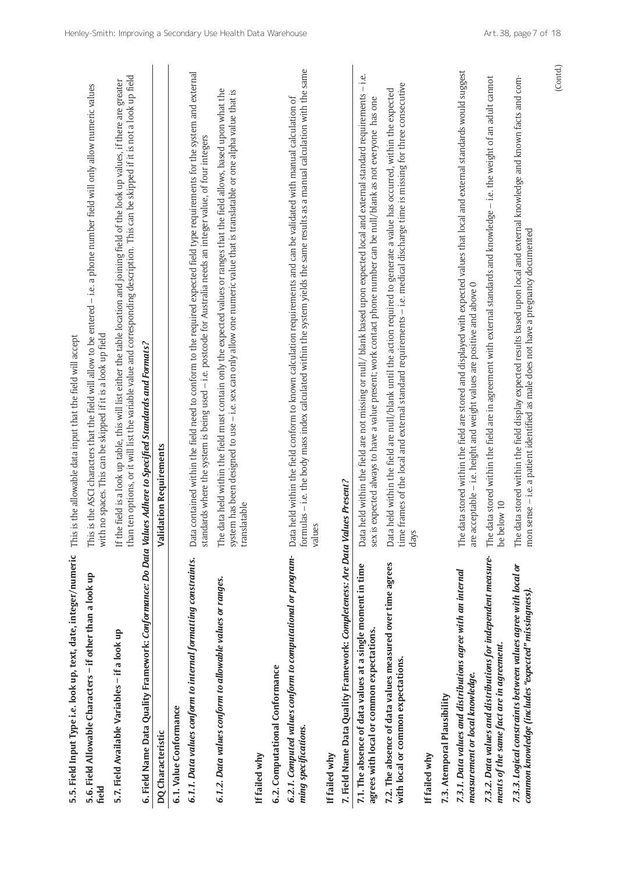| 5.5. Field Input Type i.e. look up, text, date, integer/numeric                                                       | is the allowable data input that the field will accept<br>This                                                                                                                                                                                                                  |
|-----------------------------------------------------------------------------------------------------------------------|---------------------------------------------------------------------------------------------------------------------------------------------------------------------------------------------------------------------------------------------------------------------------------|
| 5.6. Field Allowable Characters - if other than a look up<br>field                                                    | is the ASCI characters that the field will allow to be entered – i.e. a phone number field will only allow numeric values<br>no spaces. This can be skipped if it is a look up field<br>This i<br>with                                                                          |
| 5.7. Field Available Variables - if a look up                                                                         | than ten options, or it will list the variable value and corresponding description. This can be skipped if it is not a look up field<br>If the field is a look up table, this will list either the table location and joining field of the look up values, if there are greater |
| 6. Field Name Data Quality Framework: <i>Conformance: Do Data Values Adhere to Specified Standards and Formats?</i>   |                                                                                                                                                                                                                                                                                 |
| DQ Characteristic                                                                                                     | <b>Validation Requirements</b>                                                                                                                                                                                                                                                  |
| 6.1. Value Conformance                                                                                                |                                                                                                                                                                                                                                                                                 |
| 6.1.1. Data values conform to internal formatting constraints.                                                        | contained within the field need to conform to the required expected field type requirements for the system and external<br>standards where the system is being used – i.e. postcode for Australia needs an integer value, of four integers<br>Data                              |
| 6.1.2. Data values conform to allowable values or ranges.                                                             | The data held within the field must contain only the expected values or ranges that the field allows, based upon what the<br>system has been designed to use – i.e. sex can only allow one numeric value that is translatable or one alpha value that is<br>translatable        |
| If failed why                                                                                                         |                                                                                                                                                                                                                                                                                 |
| 6.2. Computational Conformance                                                                                        |                                                                                                                                                                                                                                                                                 |
| 6.2.1. Computed values conform to computational or program-<br>ming specifications.                                   | formulas – i.e. the body mass index calculated within the system yields the same results as a manual calculation with the same<br>Data held within the field conform to known calculation requirements and can be validated with manual calculation of<br>values                |
| If failed why                                                                                                         |                                                                                                                                                                                                                                                                                 |
| 7. Field Name Data Quality Framework: Completeness: Are Data Values Present?                                          |                                                                                                                                                                                                                                                                                 |
| 7.1. The absence of data values at a single moment in time<br>agrees with local or common expectations.               | $-$ i.e.<br>held within the field are not missing or null/blank based upon expected local and external standard requirements<br>sex is expected always to have a value present; work contact phone number can be null/blank as not everyone has one<br>Data                     |
| 7.2. The absence of data values measured over time agrees<br>with local or common expectations.                       | frames of the local and external standard requirements - i.e. medical discharge time is missing for three consecutive<br>held within the field are null/blank until the action required to generate a value has occurred, within the expected<br>Data<br>time<br>days           |
| If failed why                                                                                                         |                                                                                                                                                                                                                                                                                 |
| 7.3. Atemporal Plausibility                                                                                           |                                                                                                                                                                                                                                                                                 |
| 7.3.1. Data values and distributions agree with an internal<br>measurement or local knowledge.                        | The data stored within the field are stored and displayed with expected values that local and external standards would suggest<br>are acceptable – i.e. height and weight values are positive and above 0                                                                       |
| 7.3.2. Data values and distributions for independent measure-<br>ments of the same fact are in agreement.             | The data stored within the field are in agreement with external standards and knowledge – i.e. the weight of an adult cannot<br>be below 10                                                                                                                                     |
| 7.3.3. Logical constraints between values agree with local or<br>common knowledge (includes 'texpected" missingness). | The data stored within the field display expected results based upon local and external knowledge and known facts and com-<br>sense - i.e. a patient identified as male does not have a pregnancy documented<br>mon                                                             |
|                                                                                                                       | (Contd.)                                                                                                                                                                                                                                                                        |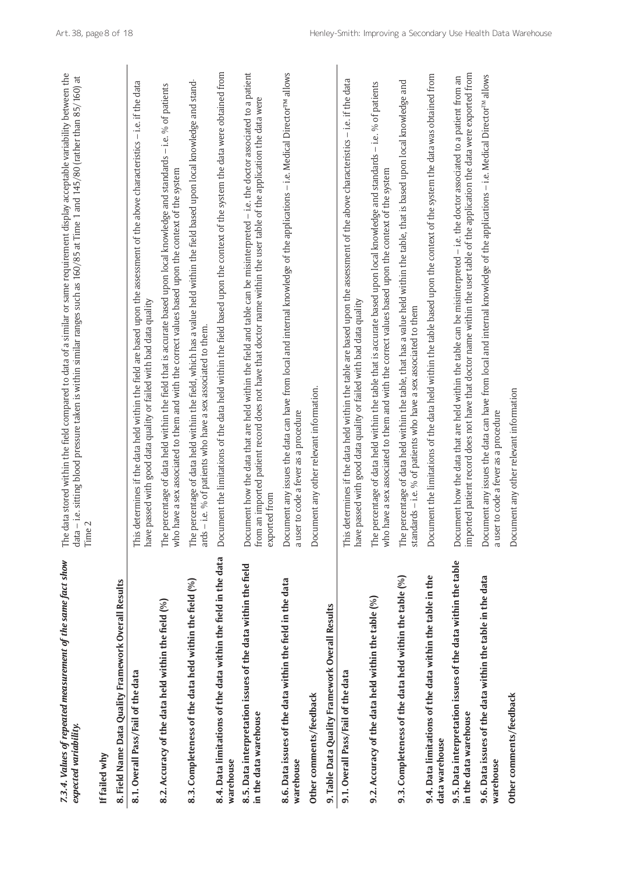| 7.3.4. Values of repeated measurement of the same fact show<br>expected variability.  | data stored within the field compared to data of a similar or same requirement display acceptable variability between the<br>data - i.e. sitting blood pressure taken is within similar ranges such as 160/85 at Time 1 and 145/80 (rather than 85/160) at<br>e <sub>2</sub><br>The<br>Tim |
|---------------------------------------------------------------------------------------|--------------------------------------------------------------------------------------------------------------------------------------------------------------------------------------------------------------------------------------------------------------------------------------------|
| If failed why                                                                         |                                                                                                                                                                                                                                                                                            |
| 8. Field Name Data Quality Framework Overall Results                                  |                                                                                                                                                                                                                                                                                            |
| 8.1. Overall Pass/Fail of the data                                                    | This determines if the data held within the field are based upon the assessment of the above characteristics – i.e. if the data<br>have passed with good data quality or failed with bad data quality                                                                                      |
| 8.2. Accuracy of the data held within the field (%)                                   | percentage of data held within the field that is accurate based upon local knowledge and standards – i.e. % of patients<br>who have a sex associated to them and with the correct values based upon the context of the system<br>The                                                       |
| 8.3. Completeness of the data held within the field (%)                               | percentage of data held within the field, which has a value held within the field based upon local knowledge and stand-<br>ards – i.e. % of patients who have a sex associated to them.<br>The                                                                                             |
| 8.4. Data limitations of the data within the field in the data<br>warehouse           | Document the limitations of the data held within the field based upon the context of the system the data were obtained from                                                                                                                                                                |
| 8.5. Data interpretation issues of the data within the field<br>in the data warehouse | Document how the data that are held within the field and table can be misinterpreted – i.e. the doctor associated to a patient<br>from an imported patient record does not have that doctor name within the user table of the application the data were<br>exported from                   |
| 8.6. Data issues of the data within the field in the data<br>warehouse                | Document any issues the data can have from local and internal knowledge of the applications – i.e. Medical Director™ allows<br>er to code a fever as a procedure<br>sn e                                                                                                                   |
| Other comments/feedback                                                               | Document any other relevant information.                                                                                                                                                                                                                                                   |
| 9. Table Data Quality Framework Overall Results                                       |                                                                                                                                                                                                                                                                                            |
| 9.1. Overall Pass/Fail of the data                                                    | This determines if the data held within the table are based upon the assessment of the above characteristics – i.e. if the data<br>have passed with good data quality or failed with bad data quality                                                                                      |
| 9.2. Accuracy of the data held within the table $(%)$                                 | percentage of data held within the table that is accurate based upon local knowledge and standards – i.e. % of patients<br>who have a sex associated to them and with the correct values based upon the context of the system<br>The                                                       |
| 9.3. Completeness of the data held within the table $(%$                              | percentage of data held within the table, that has a value held within the table, that is based upon local knowledge and<br>standards - i.e. % of patients who have a sex associated to them<br>The                                                                                        |
| 9.4. Data limitations of the data within the table in the<br>data warehouse           | Document the limitations of the data held within the table based upon the context of the system the data was obtained from                                                                                                                                                                 |
| 9.5. Data interpretation issues of the data within the table<br>in the data warehouse | imported patient record does not have that doctor name within the user table of the application the data were exported from<br>Document how the data that are held within the table can be misinterpreted – i.e. the doctor associated to a patient from an                                |
| 9.6. Data issues of the data within the table in the data<br>warehouse                | Document any issues the data can have from local and internal knowledge of the applications – i.e. Medical Director™ allows<br>er to code a fever as a procedure<br>sn e                                                                                                                   |
| Other comments/feedback                                                               | Document any other relevant information                                                                                                                                                                                                                                                    |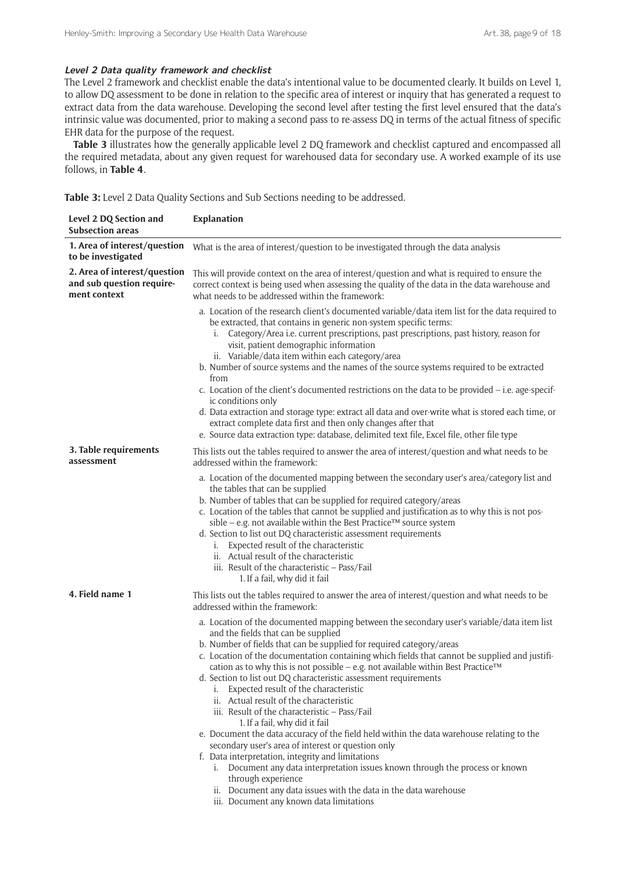#### **Level 2 Data quality framework and checklist**

The Level 2 framework and checklist enable the data's intentional value to be documented clearly. It builds on Level 1, to allow DQ assessment to be done in relation to the specific area of interest or inquiry that has generated a request to extract data from the data warehouse. Developing the second level after testing the first level ensured that the data's intrinsic value was documented, prior to making a second pass to re-assess DQ in terms of the actual fitness of specific EHR data for the purpose of the request.

**Table 3** illustrates how the generally applicable level 2 DQ framework and checklist captured and encompassed all the required metadata, about any given request for warehoused data for secondary use. A worked example of its use follows, in **Table 4**.

**Table 3:** Level 2 Data Quality Sections and Sub Sections needing to be addressed.

| Level 2 DQ Section and<br><b>Subsection areas</b>                         | <b>Explanation</b>                                                                                                                                                                                                                                                                                                                                                                                                                                                                                                                                                                                                                                                                                                                                                                                                                                                                                                                                                                                                                                                                   |
|---------------------------------------------------------------------------|--------------------------------------------------------------------------------------------------------------------------------------------------------------------------------------------------------------------------------------------------------------------------------------------------------------------------------------------------------------------------------------------------------------------------------------------------------------------------------------------------------------------------------------------------------------------------------------------------------------------------------------------------------------------------------------------------------------------------------------------------------------------------------------------------------------------------------------------------------------------------------------------------------------------------------------------------------------------------------------------------------------------------------------------------------------------------------------|
| 1. Area of interest/question<br>to be investigated                        | What is the area of interest/question to be investigated through the data analysis                                                                                                                                                                                                                                                                                                                                                                                                                                                                                                                                                                                                                                                                                                                                                                                                                                                                                                                                                                                                   |
| 2. Area of interest/question<br>and sub question require-<br>ment context | This will provide context on the area of interest/question and what is required to ensure the<br>correct context is being used when assessing the quality of the data in the data warehouse and<br>what needs to be addressed within the framework:                                                                                                                                                                                                                                                                                                                                                                                                                                                                                                                                                                                                                                                                                                                                                                                                                                  |
|                                                                           | a. Location of the research client's documented variable/data item list for the data required to<br>be extracted, that contains in generic non-system specific terms:<br>Category/Area i.e. current prescriptions, past prescriptions, past history, reason for<br>1.<br>visit, patient demographic information<br>ii. Variable/data item within each category/area<br>b. Number of source systems and the names of the source systems required to be extracted<br>from<br>c. Location of the client's documented restrictions on the data to be provided – i.e. age-specif-<br>ic conditions only<br>d. Data extraction and storage type: extract all data and over-write what is stored each time, or<br>extract complete data first and then only changes after that<br>e. Source data extraction type: database, delimited text file, Excel file, other file type                                                                                                                                                                                                                |
| 3. Table requirements<br>assessment                                       | This lists out the tables required to answer the area of interest/question and what needs to be<br>addressed within the framework:                                                                                                                                                                                                                                                                                                                                                                                                                                                                                                                                                                                                                                                                                                                                                                                                                                                                                                                                                   |
|                                                                           | a. Location of the documented mapping between the secondary user's area/category list and<br>the tables that can be supplied<br>b. Number of tables that can be supplied for required category/areas<br>c. Location of the tables that cannot be supplied and justification as to why this is not pos-<br>sible – e.g. not available within the Best Practice™ source system<br>d. Section to list out DQ characteristic assessment requirements<br>Expected result of the characteristic<br>1.<br>ii. Actual result of the characteristic<br>iii. Result of the characteristic - Pass/Fail<br>1. If a fail, why did it fail                                                                                                                                                                                                                                                                                                                                                                                                                                                         |
| 4. Field name 1                                                           | This lists out the tables required to answer the area of interest/question and what needs to be<br>addressed within the framework:                                                                                                                                                                                                                                                                                                                                                                                                                                                                                                                                                                                                                                                                                                                                                                                                                                                                                                                                                   |
|                                                                           | a. Location of the documented mapping between the secondary user's variable/data item list<br>and the fields that can be supplied<br>b. Number of fields that can be supplied for required category/areas<br>c. Location of the documentation containing which fields that cannot be supplied and justifi-<br>cation as to why this is not possible - e.g. not available within Best Practice <sup>TM</sup><br>d. Section to list out DQ characteristic assessment requirements<br>i. Expected result of the characteristic<br>ii. Actual result of the characteristic<br>iii. Result of the characteristic - Pass/Fail<br>1. If a fail, why did it fail<br>e. Document the data accuracy of the field held within the data warehouse relating to the<br>secondary user's area of interest or question only<br>f. Data interpretation, integrity and limitations<br>Document any data interpretation issues known through the process or known<br>through experience<br>ii. Document any data issues with the data in the data warehouse<br>iii. Document any known data limitations |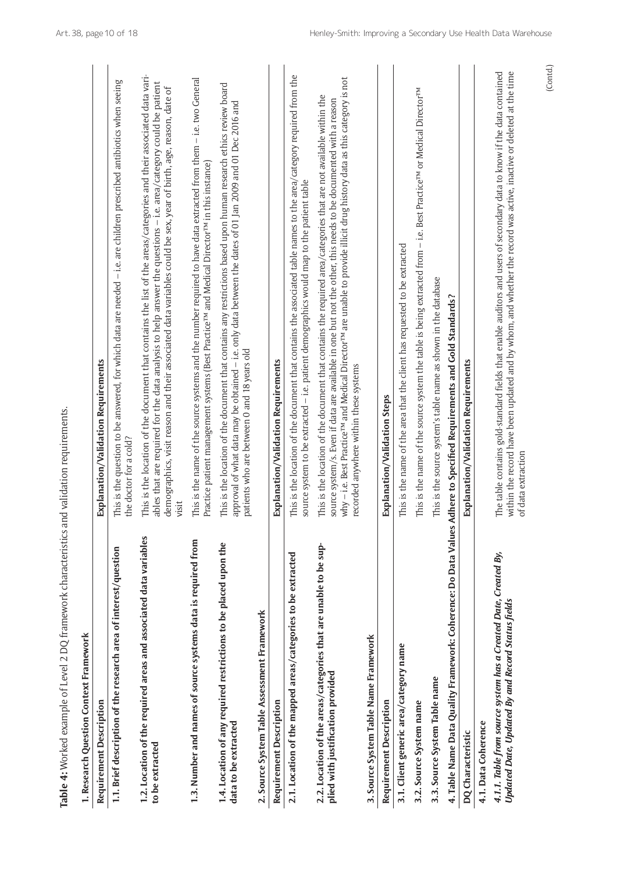| 1. Research Question Context Framework<br><b>Requirement Description</b>                                             | Explanation/Validation Requirements                                                                                                                                                                                                                                                                                                                                                                                                 |
|----------------------------------------------------------------------------------------------------------------------|-------------------------------------------------------------------------------------------------------------------------------------------------------------------------------------------------------------------------------------------------------------------------------------------------------------------------------------------------------------------------------------------------------------------------------------|
| 1.1. Brief description of the research area of interest/question                                                     | This is the question to be answered, for which data are needed - i.e. are children prescribed antibiotics when seeing<br>the doctor for a cold?                                                                                                                                                                                                                                                                                     |
| 1.2. Location of the required areas and associated data variables<br>to be extracted                                 | This is the location of the document that contains the list of the areas/categories and their associated data vari-<br>ables that are required for the data analysis to help answer the questions – i.e. area/category could be patient<br>demographics, visit reason and their associated data variables could be sex, year of birth, age, reason, date of<br>visit                                                                |
| 1.3. Number and names of source systems data is required from                                                        | This is the name of the source systems and the number required to have data extracted from them – i.e. two General<br>Practice patient management systems (Best Practice <sup>rM</sup> and Medical Director <sup>rM</sup> in this instance)                                                                                                                                                                                         |
| 1.4. Location of any required restrictions to be placed upon the<br>data to be extracted                             | This is the location of the document that contains any restrictions based upon human research ethics review board<br>approval of what data may be obtained - i.e. only data between the dates of 01 Jan 2009 and 01 Dec 2016 and<br>patients who are between 0 and 18 years old                                                                                                                                                     |
| 2. Source System Table Assessment Framework                                                                          |                                                                                                                                                                                                                                                                                                                                                                                                                                     |
| <b>Requirement Description</b>                                                                                       | Explanation/Validation Requirements                                                                                                                                                                                                                                                                                                                                                                                                 |
| 2.1. Location of the mapped areas/categories to be extracted                                                         | This is the location of the document that contains the associated table names to the area/category required from the<br>source system to be extracted - i.e. patient demographics would map to the patient table                                                                                                                                                                                                                    |
| 2.2. Location of the areas/categories that are unable to be sup-<br>plied with justification provided                | why - i.e. Best Practice <sup>rw</sup> and Medical Director <sup>rw</sup> are unable to provide illicit drug history data as this category is not<br>This is the location of the document that contains the required area/categories that are not available within the<br>source system/s. Even if data are available in one but not the other, this needs to be documented with a reason<br>recorded anywhere within these systems |
| 3. Source System Table Name Framework                                                                                |                                                                                                                                                                                                                                                                                                                                                                                                                                     |
| <b>Requirement Description</b>                                                                                       | Explanation/Validation Steps                                                                                                                                                                                                                                                                                                                                                                                                        |
| 3.1. Client generic area/category name                                                                               | This is the name of the area that the client has requested to be extracted                                                                                                                                                                                                                                                                                                                                                          |
| 3.2. Source System name                                                                                              | This is the name of the source system the table is being extracted from – i.e. Best Practice™ or Medical Director™                                                                                                                                                                                                                                                                                                                  |
| 3.3. Source System Table name                                                                                        | This is the source system's table name as shown in the database                                                                                                                                                                                                                                                                                                                                                                     |
| 4. Table Name Data Quality Framework: Coherence: Do Data Values Adhere to Specified Requirements and Gold Standards? |                                                                                                                                                                                                                                                                                                                                                                                                                                     |
| DQ Characteristic                                                                                                    | Explanation/Validation Requirements                                                                                                                                                                                                                                                                                                                                                                                                 |
| 4.1. Data Coherence                                                                                                  |                                                                                                                                                                                                                                                                                                                                                                                                                                     |
| 4.1.1. Table from source system has a Created Date, Created By,<br>Updated Date, Updated By and Record Status fields | The table contains gold-standard fields that enable auditors and users of secondary data to know if the data contained<br>within the record have been updated and by whom, and whether the record was active, inactive or deleted at the time<br>of data extraction                                                                                                                                                                 |
|                                                                                                                      | (Contd.)                                                                                                                                                                                                                                                                                                                                                                                                                            |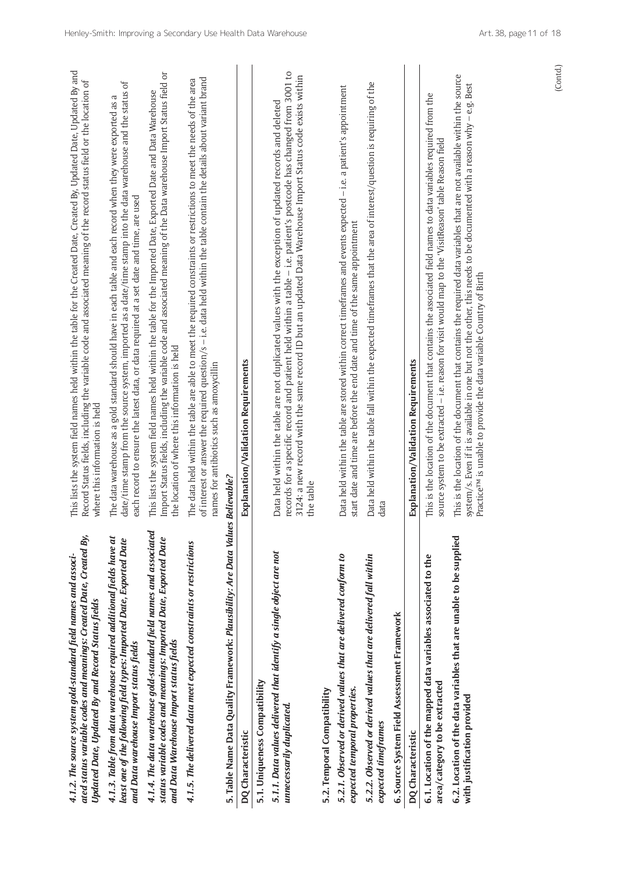| ated status variable codes and meanings: Created Date, Created By,<br>4.1.2. The source system gold-standard field names and associ-<br>Updated Date, Updated By and Record Status fields | This lists the system field names held within the table for the Created Date, Created By, Updated Date, Updated By and<br>Record Status fields, including the variable code and associated meaning of the record status field or the location of<br>where this information is held                                                                   |
|-------------------------------------------------------------------------------------------------------------------------------------------------------------------------------------------|------------------------------------------------------------------------------------------------------------------------------------------------------------------------------------------------------------------------------------------------------------------------------------------------------------------------------------------------------|
| 4.1.3. Table from data warehouse required additional fields have at<br>least one of the following field types: Imported Date, Exported Date<br>and Data warehouse Import status fields    | date/time stamp from the source system, imported as a date/time stamp into the data warehouse and the status of<br>The data warehouse as a gold standard should have in each table and each record when they were exported as a<br>each record to ensure the latest data, or data required at a set date and time, are used                          |
| 4.1.4. The data warehouse gold-standard field names and associated<br>status variable codes and meanings: Imported Date, Exported Date<br>and Data Warehouse Import status fields         | Import Status fields, including the variable code and associated meaning of the Data warehouse Import Status field or<br>This lists the system field names held within the table for the Imported Date, Exported Date and Data Warehouse<br>the location of where this information is held                                                           |
| 4.1.5. The delivered data meet expected constraints or restrictions                                                                                                                       | of interest or answer the required question/s - i.e. data held within the table contain the details about variant brand<br>The data held within the table are able to meet the required constraints or restrictions to meet the needs of the area<br>names for antibiotics such as amoxycillin                                                       |
| 5. Table Name Data Quality Framework: <i>Plausibility: Are Data Values Believable?</i>                                                                                                    |                                                                                                                                                                                                                                                                                                                                                      |
| DQ Characteristic                                                                                                                                                                         | Explanation/Validation Requirements                                                                                                                                                                                                                                                                                                                  |
| 5.1. Uniqueness Compatibility                                                                                                                                                             |                                                                                                                                                                                                                                                                                                                                                      |
| 5.1.1. Data values delivered that identify a single object are not<br>unnecessarily duplicated.                                                                                           | records for a specific record and patient held within a table – i.e. patient's postcode has changed from 3001 to<br>3124: a new record with the same record ID but an updated Data Warehouse Import Status code exists within<br>Data held within the table are not duplicated values with the exception of updated records and deleted<br>the table |
| 5.2. Temporal Compatibility                                                                                                                                                               |                                                                                                                                                                                                                                                                                                                                                      |
| 5.2.1. Observed or derived values that are delivered conform to<br>expected temporal properties.                                                                                          | Data held within the table are stored within correct timeframes and events expected - i.e. a patient's appointment<br>start date and time are before the end date and time of the same appointment                                                                                                                                                   |
| 5.2.2. Observed or derived values that are delivered fall within<br>expected timeframes                                                                                                   | Data held within the table fall within the expected timeframes that the area of interest/question is requiring of the<br>data                                                                                                                                                                                                                        |
| 6. Source System Field Assessment Framework                                                                                                                                               |                                                                                                                                                                                                                                                                                                                                                      |
| DQ Characteristic                                                                                                                                                                         | Explanation/Validation Requirements                                                                                                                                                                                                                                                                                                                  |
| 6.1. Location of the mapped data variables associated to the<br>area/category to be extracted                                                                                             | This is the location of the document that contains the associated field names to data variables required from the<br>source system to be extracted - i.e. reason for visit would map to the 'VisitReason' table Reason field                                                                                                                         |
| 6.2. Location of the data variables that are unable to be supplied<br>with justification provided                                                                                         | This is the location of the document that contains the required data variables that are not available within the source<br>system/s. Even if it is available in one but not the other, this needs to be documented with a reason why – e.g. Best<br>Practice <sup>rM</sup> is unable to provide the data variable Country of Birth                   |
|                                                                                                                                                                                           |                                                                                                                                                                                                                                                                                                                                                      |
|                                                                                                                                                                                           | (Contd.)                                                                                                                                                                                                                                                                                                                                             |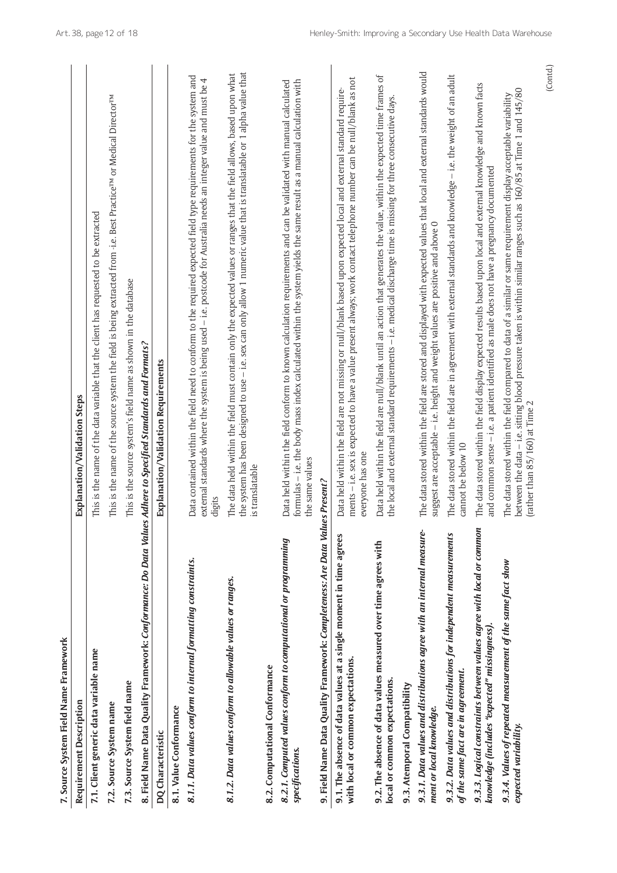| 7. Source System Field Name Framework                                                                                |                                                                                                                                                                                                                                                                          |
|----------------------------------------------------------------------------------------------------------------------|--------------------------------------------------------------------------------------------------------------------------------------------------------------------------------------------------------------------------------------------------------------------------|
| Requirement Description                                                                                              | Explanation/Validation Steps                                                                                                                                                                                                                                             |
| 7.1. Client generic data variable name                                                                               | This is the name of the data variable that the client has requested to be extracted                                                                                                                                                                                      |
| 7.2. Source System name                                                                                              | This is the name of the source system the field is being extracted from -i.e. Best Practice™ or Medical Director™                                                                                                                                                        |
| 7.3. Source System field name                                                                                        | This is the source system's field name as shown in the database                                                                                                                                                                                                          |
| 8. Field Name Data Quality Framework: <i>Conformance: Do Data Values Adhere to Specified Standards and Formats?</i>  |                                                                                                                                                                                                                                                                          |
| DQ Characteristic                                                                                                    | Explanation/Validation Requirements                                                                                                                                                                                                                                      |
| 8.1. Value Conformance                                                                                               |                                                                                                                                                                                                                                                                          |
| 8.1.1. Data values conform to internal formatting constraints.                                                       | Data contained within the field need to conform to the required expected field type requirements for the system and<br>external standards where the system is being used – i.e. postcode for Australia needs an integer value and must be 4<br>digits                    |
| 8.1.2. Data values conform to allowable values or ranges.                                                            | the system has been designed to use - i.e. sex can only allow 1 numeric value that is translatable or 1 alpha value that<br>The data held within the field must contain only the expected values or ranges that the field allows, based upon what<br>is translatable     |
| 8.2. Computational Conformance                                                                                       |                                                                                                                                                                                                                                                                          |
| 8.2.1. Computed values conform to computational or programming<br>specifications.                                    | formulas – i.e. the body mass index calculated within the system yields the same result as a manual calculation with<br>Data held within the field conform to known calculation requirements and can be validated with manual calculated<br>the same values              |
| 9. Field Name Data Quality Framework: Completeness: Are Data Val                                                     | ues Present?                                                                                                                                                                                                                                                             |
| 9.1. The absence of data values at a single moment in time agrees<br>with local or common expectations.              | ments – i.e. sex is expected to have a value present always; work contact telephone number can be null/blank as not<br>Data held within the field are not missing or null/blank based upon expected local and external standard require- $\,$<br>everyone has one        |
| 9.2. The absence of data values measured over time agrees with<br>local or common expectations.                      | Data held within the field are null/blank until an action that generates the value, within the expected time frames of<br>the local and external standard requirements – i.e. medical discharge time is missing for three consecutive days.                              |
| 9.3. Atemporal Compatibility                                                                                         |                                                                                                                                                                                                                                                                          |
| 9.3.1. Data values and distributions agree with an internal measure-<br>ment or local knowledge.                     | The data stored within the field are stored and displayed with expected values that local and external standards would<br>suggest are acceptable – i.e. height and weight values are positive and above 0                                                                |
| 9.3.2. Data values and distributions for independent measurements<br>of the same fact are in agreement.              | The data stored within the field are in agreement with external standards and knowledge – i.e. the weight of an adult<br>cannot be below 10                                                                                                                              |
| 9.3.3. Logical constraints between values agree with local or common<br>knowledge (includes "expected" missingness). | The data stored within the field display expected results based upon local and external knowledge and known facts<br>and common sense $-$ i.e. a patient identified as male does not have a pregnancy documented                                                         |
| 9.3.4. Values of repeated measurement of the same fact show<br>expected variability.                                 | between the data - i.e. sitting blood pressure taken is within similar ranges such as 160/85 at Time 1 and 145/80<br>The data stored within the field compared to data of a similar or same requirement display acceptable variability<br>(rather than 85/160) at Time 2 |
|                                                                                                                      | (Contd.)                                                                                                                                                                                                                                                                 |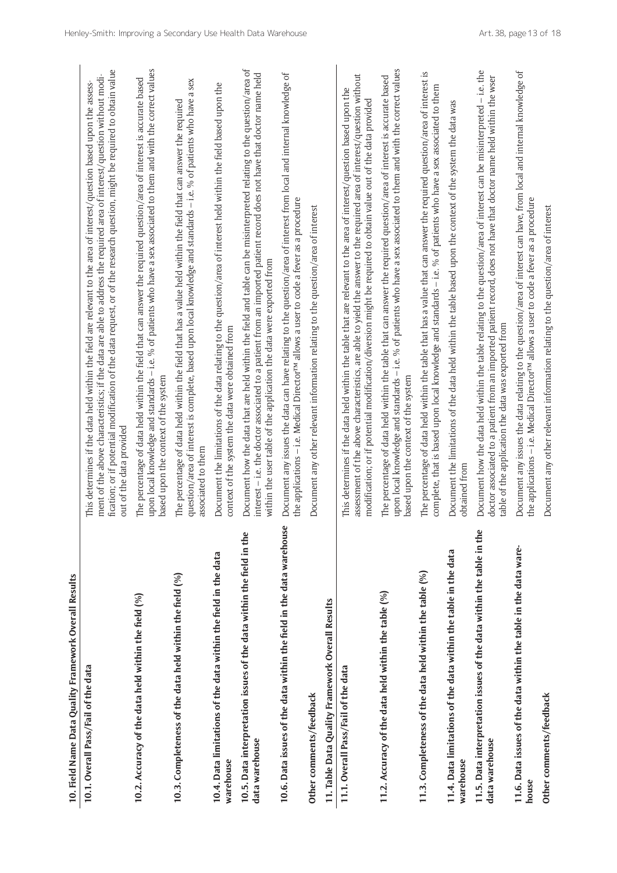| 10. Field Name Data Quality Framework Overall Results                                  |                                                                                                                                                                                                                                                                                                                                                                                                             |
|----------------------------------------------------------------------------------------|-------------------------------------------------------------------------------------------------------------------------------------------------------------------------------------------------------------------------------------------------------------------------------------------------------------------------------------------------------------------------------------------------------------|
| 10.1. Overall Pass/Fail of the data                                                    | fication; or if potential modification of the data request, or of the research question, might be required to obtain value<br>ment of the above characteristics; if the data are able to address the required area of interest/question without modi-<br>This determines if the data held within the field are relevant to the area of interest/question based upon the assess-<br>out of the data provided |
| 10.2. Accuracy of the data held within the field (%)                                   | upon local knowledge and standards - i.e. % of patients who have a sex associated to them and with the correct values<br>The percentage of data held within the field that can answer the required question/area of interest is accurate based<br>based upon the context of the system                                                                                                                      |
| 10.3. Completeness of the data held within the field (%)                               | question/area of interest is complete, based upon local knowledge and standards – i.e. % of patients who have a sex<br>The percentage of data held within the field that has a value held within the field that can answer the required<br>associated to them                                                                                                                                               |
| 10.4. Data limitations of the data within the field in the data<br>warehouse           | Document the limitations of the data relating to the question/area of interest held within the field based upon the<br>context of the system the data were obtained from                                                                                                                                                                                                                                    |
| 10.5. Data interpretation issues of the data within the field in the<br>data warehouse | Document how the data that are held within the field and table can be misinterpreted relating to the question/area of<br>interest – i.e. the doctor associated to a patient from an imported patient record does not have that doctor name held<br>within the user table of the application the data were exported from                                                                                     |
| 10.6. Data issues of the data within the field in the data warehouse                   | Document any issues the data can have relating to the question/area of interest from local and internal knowledge of<br>the applications - i.e. Medical Director <sup>rM</sup> allows a user to code a fever as a procedure                                                                                                                                                                                 |
| Other comments/feedback                                                                | Document any other relevant information relating to the question/area of interest                                                                                                                                                                                                                                                                                                                           |
| 11. Table Data Quality Framework Overall Results                                       |                                                                                                                                                                                                                                                                                                                                                                                                             |
| 11.1. Overall Pass/Fail of the data                                                    | assessment of the above characteristics, are able to yield the answer to the required area of interest/question without<br>This determines if the data held within the table that are relevant to the area of interest/question based upon the<br>modification; or if potential modification/diversion might be required to obtain value out of the data provided                                           |
| 11.2. Accuracy of the data held within the table (%)                                   | upon local knowledge and standards – i.e. % of patients who have a sex associated to them and with the correct values<br>The percentage of data held within the table that can answer the required question/area of interest is accurate based<br>based upon the context of the system                                                                                                                      |
| 11.3. Completeness of the data held within the table $(%)$                             | The percentage of data held within the table that has a value that can answer the required question/area of interest is<br>complete, that is based upon local knowledge and standards – i.e. % of patients who have a sex associated to them                                                                                                                                                                |
| 11.4. Data limitations of the data within the table in the data<br>warehouse           | Document the limitations of the data held within the table based upon the context of the system the data was<br>obtained from                                                                                                                                                                                                                                                                               |
| 11.5. Data interpretation issues of the data within the table in the<br>data warehouse | Document how the data held within the table relating to the question/area of interest can be misinterpreted - i.e. the<br>doctor associated to a patient from an imported patient record, does not have that doctor name held within the wser<br>table of the application the data was exported from                                                                                                        |
| 11.6. Data issues of the data within the table in the data ware-<br>house              | Document any issues the data relating to the question/area of interest can have, from local and internal knowledge of<br>the applications - i.e. Medical Director <sup>rM</sup> allows a user to code a fever as a procedure                                                                                                                                                                                |
| Other comments/feedback                                                                | Document any other relevant information relating to the question/area of interest                                                                                                                                                                                                                                                                                                                           |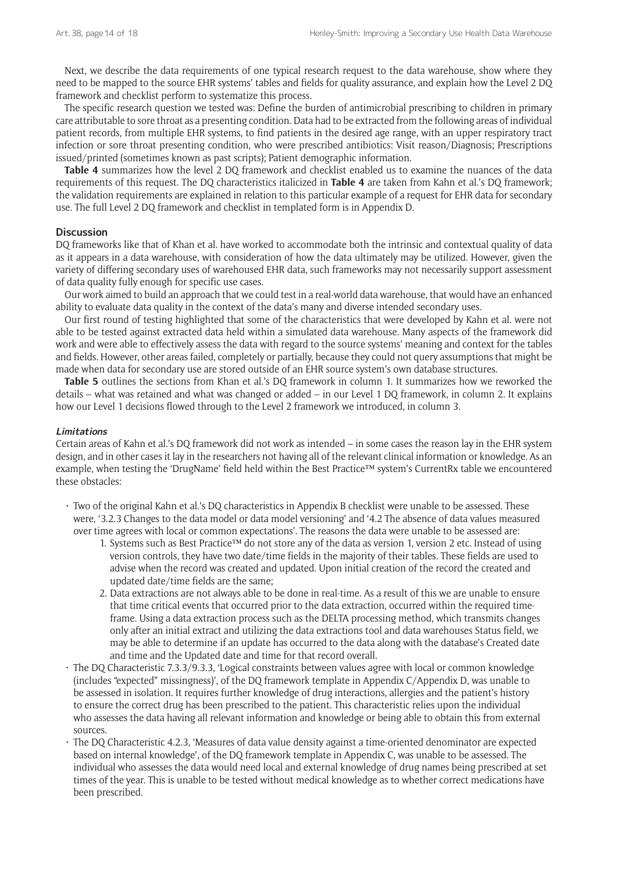Next, we describe the data requirements of one typical research request to the data warehouse, show where they need to be mapped to the source EHR systems' tables and fields for quality assurance, and explain how the Level 2 DQ framework and checklist perform to systematize this process.

The specific research question we tested was: Define the burden of antimicrobial prescribing to children in primary care attributable to sore throat as a presenting condition. Data had to be extracted from the following areas of individual patient records, from multiple EHR systems, to find patients in the desired age range, with an upper respiratory tract infection or sore throat presenting condition, who were prescribed antibiotics: Visit reason/Diagnosis; Prescriptions issued/printed (sometimes known as past scripts); Patient demographic information.

**Table 4** summarizes how the level 2 DQ framework and checklist enabled us to examine the nuances of the data requirements of this request. The DQ characteristics italicized in **Table 4** are taken from Kahn et al.'s DQ framework; the validation requirements are explained in relation to this particular example of a request for EHR data for secondary use. The full Level 2 DQ framework and checklist in templated form is in Appendix D.

## **Discussion**

DQ frameworks like that of Khan et al. have worked to accommodate both the intrinsic and contextual quality of data as it appears in a data warehouse, with consideration of how the data ultimately may be utilized. However, given the variety of differing secondary uses of warehoused EHR data, such frameworks may not necessarily support assessment of data quality fully enough for specific use cases.

Our work aimed to build an approach that we could test in a real-world data warehouse, that would have an enhanced ability to evaluate data quality in the context of the data's many and diverse intended secondary uses.

Our first round of testing highlighted that some of the characteristics that were developed by Kahn et al. were not able to be tested against extracted data held within a simulated data warehouse. Many aspects of the framework did work and were able to effectively assess the data with regard to the source systems' meaning and context for the tables and fields. However, other areas failed, completely or partially, because they could not query assumptions that might be made when data for secondary use are stored outside of an EHR source system's own database structures.

**Table 5** outlines the sections from Khan et al.'s DQ framework in column 1. It summarizes how we reworked the details – what was retained and what was changed or added – in our Level 1 DQ framework, in column 2. It explains how our Level 1 decisions flowed through to the Level 2 framework we introduced, in column 3.

#### **Limitations**

Certain areas of Kahn et al.'s DQ framework did not work as intended – in some cases the reason lay in the EHR system design, and in other cases it lay in the researchers not having all of the relevant clinical information or knowledge. As an example, when testing the 'DrugName' field held within the Best Practice™ system's CurrentRx table we encountered these obstacles:

- • Two of the original Kahn et al.'s DQ characteristics in Appendix B checklist were unable to be assessed. These were, '3.2.3 Changes to the data model or data model versioning' and '4.2 The absence of data values measured over time agrees with local or common expectations'. The reasons the data were unable to be assessed are:
	- 1. Systems such as Best Practice™ do not store any of the data as version 1, version 2 etc. Instead of using version controls, they have two date/time fields in the majority of their tables. These fields are used to advise when the record was created and updated. Upon initial creation of the record the created and updated date/time fields are the same;
	- 2. Data extractions are not always able to be done in real-time. As a result of this we are unable to ensure that time critical events that occurred prior to the data extraction, occurred within the required timeframe. Using a data extraction process such as the DELTA processing method, which transmits changes only after an initial extract and utilizing the data extractions tool and data warehouses Status field, we may be able to determine if an update has occurred to the data along with the database's Created date and time and the Updated date and time for that record overall.
- • The DQ Characteristic 7.3.3/9.3.3, 'Logical constraints between values agree with local or common knowledge (includes "expected" missingness)', of the DQ framework template in Appendix C/Appendix D, was unable to be assessed in isolation. It requires further knowledge of drug interactions, allergies and the patient's history to ensure the correct drug has been prescribed to the patient. This characteristic relies upon the individual who assesses the data having all relevant information and knowledge or being able to obtain this from external sources.
- The DQ Characteristic 4.2.3, 'Measures of data value density against a time-oriented denominator are expected based on internal knowledge', of the DQ framework template in Appendix C, was unable to be assessed. The individual who assesses the data would need local and external knowledge of drug names being prescribed at set times of the year. This is unable to be tested without medical knowledge as to whether correct medications have been prescribed.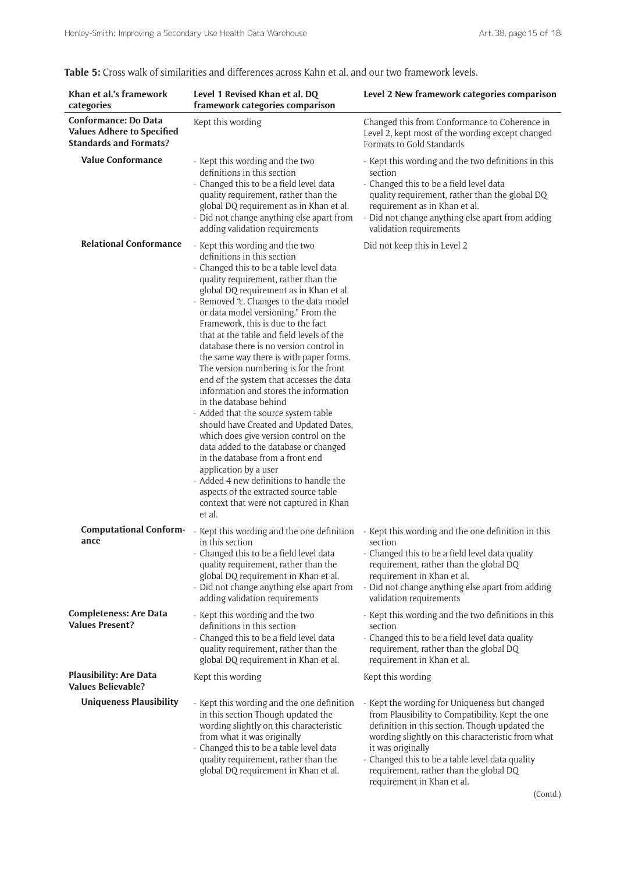| Khan et al.'s framework<br>categories                                                             | Level 1 Revised Khan et al. DQ<br>framework categories comparison                                                                                                                                                                                                                                                                                                                                                                                                                                                                                                                                                                                                                                                                                                                                                                                                                                                                                                                           | Level 2 New framework categories comparison                                                                                                                                                                                                                                                                                                              |
|---------------------------------------------------------------------------------------------------|---------------------------------------------------------------------------------------------------------------------------------------------------------------------------------------------------------------------------------------------------------------------------------------------------------------------------------------------------------------------------------------------------------------------------------------------------------------------------------------------------------------------------------------------------------------------------------------------------------------------------------------------------------------------------------------------------------------------------------------------------------------------------------------------------------------------------------------------------------------------------------------------------------------------------------------------------------------------------------------------|----------------------------------------------------------------------------------------------------------------------------------------------------------------------------------------------------------------------------------------------------------------------------------------------------------------------------------------------------------|
| <b>Conformance: Do Data</b><br><b>Values Adhere to Specified</b><br><b>Standards and Formats?</b> | Kept this wording                                                                                                                                                                                                                                                                                                                                                                                                                                                                                                                                                                                                                                                                                                                                                                                                                                                                                                                                                                           | Changed this from Conformance to Coherence in<br>Level 2, kept most of the wording except changed<br>Formats to Gold Standards                                                                                                                                                                                                                           |
| <b>Value Conformance</b>                                                                          | - Kept this wording and the two<br>definitions in this section<br>- Changed this to be a field level data<br>quality requirement, rather than the<br>global DQ requirement as in Khan et al.<br>- Did not change anything else apart from<br>adding validation requirements                                                                                                                                                                                                                                                                                                                                                                                                                                                                                                                                                                                                                                                                                                                 | - Kept this wording and the two definitions in this<br>section<br>- Changed this to be a field level data<br>quality requirement, rather than the global DQ<br>requirement as in Khan et al.<br>- Did not change anything else apart from adding<br>validation requirements                                                                              |
| <b>Relational Conformance</b>                                                                     | - Kept this wording and the two<br>definitions in this section<br>- Changed this to be a table level data<br>quality requirement, rather than the<br>global DQ requirement as in Khan et al.<br>- Removed "c. Changes to the data model<br>or data model versioning." From the<br>Framework, this is due to the fact<br>that at the table and field levels of the<br>database there is no version control in<br>the same way there is with paper forms.<br>The version numbering is for the front<br>end of the system that accesses the data<br>information and stores the information<br>in the database behind<br>- Added that the source system table<br>should have Created and Updated Dates,<br>which does give version control on the<br>data added to the database or changed<br>in the database from a front end<br>application by a user<br>- Added 4 new definitions to handle the<br>aspects of the extracted source table<br>context that were not captured in Khan<br>et al. | Did not keep this in Level 2                                                                                                                                                                                                                                                                                                                             |
| <b>Computational Conform-</b><br>ance                                                             | - Kept this wording and the one definition<br>in this section<br>- Changed this to be a field level data<br>quality requirement, rather than the<br>global DQ requirement in Khan et al.<br>- Did not change anything else apart from<br>adding validation requirements                                                                                                                                                                                                                                                                                                                                                                                                                                                                                                                                                                                                                                                                                                                     | - Kept this wording and the one definition in this<br>section<br>- Changed this to be a field level data quality<br>requirement, rather than the global DQ<br>requirement in Khan et al.<br>- Did not change anything else apart from adding<br>validation requirements                                                                                  |
| <b>Completeness: Are Data</b><br><b>Values Present?</b>                                           | - Kept this wording and the two<br>definitions in this section<br>- Changed this to be a field level data<br>quality requirement, rather than the<br>global DQ requirement in Khan et al.                                                                                                                                                                                                                                                                                                                                                                                                                                                                                                                                                                                                                                                                                                                                                                                                   | - Kept this wording and the two definitions in this<br>section<br>- Changed this to be a field level data quality<br>requirement, rather than the global DQ<br>requirement in Khan et al.                                                                                                                                                                |
| <b>Plausibility: Are Data</b><br><b>Values Believable?</b>                                        | Kept this wording                                                                                                                                                                                                                                                                                                                                                                                                                                                                                                                                                                                                                                                                                                                                                                                                                                                                                                                                                                           | Kept this wording                                                                                                                                                                                                                                                                                                                                        |
| <b>Uniqueness Plausibility</b>                                                                    | - Kept this wording and the one definition<br>in this section Though updated the<br>wording slightly on this characteristic<br>from what it was originally<br>- Changed this to be a table level data<br>quality requirement, rather than the<br>global DQ requirement in Khan et al.                                                                                                                                                                                                                                                                                                                                                                                                                                                                                                                                                                                                                                                                                                       | - Kept the wording for Uniqueness but changed<br>from Plausibility to Compatibility. Kept the one<br>definition in this section. Though updated the<br>wording slightly on this characteristic from what<br>it was originally<br>- Changed this to be a table level data quality<br>requirement, rather than the global DQ<br>requirement in Khan et al. |

**Table 5:** Cross walk of similarities and differences across Kahn et al. and our two framework levels.

(Contd.)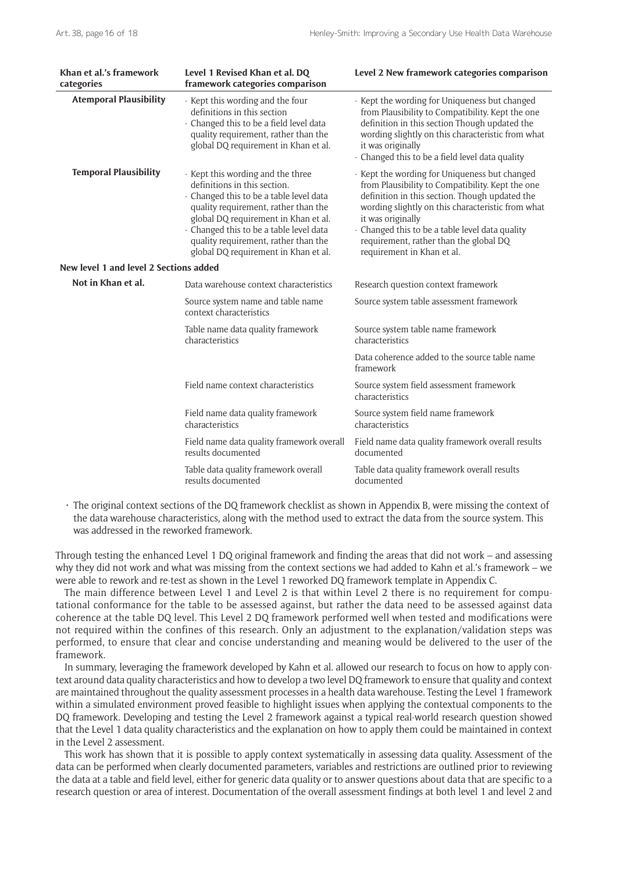| Khan et al.'s framework<br>categories                                  | Level 1 Revised Khan et al. DQ<br>framework categories comparison                                                                                                                                                                                                                                                       | Level 2 New framework categories comparison                                                                                                                                                                                                                                                                                                              |
|------------------------------------------------------------------------|-------------------------------------------------------------------------------------------------------------------------------------------------------------------------------------------------------------------------------------------------------------------------------------------------------------------------|----------------------------------------------------------------------------------------------------------------------------------------------------------------------------------------------------------------------------------------------------------------------------------------------------------------------------------------------------------|
| <b>Atemporal Plausibility</b>                                          | - Kept this wording and the four<br>definitions in this section<br>- Changed this to be a field level data<br>quality requirement, rather than the<br>global DQ requirement in Khan et al.                                                                                                                              | - Kept the wording for Uniqueness but changed<br>from Plausibility to Compatibility. Kept the one<br>definition in this section Though updated the<br>wording slightly on this characteristic from what<br>it was originally<br>- Changed this to be a field level data quality                                                                          |
| <b>Temporal Plausibility</b><br>New level 1 and level 2 Sections added | - Kept this wording and the three<br>definitions in this section.<br>- Changed this to be a table level data<br>quality requirement, rather than the<br>global DQ requirement in Khan et al.<br>- Changed this to be a table level data<br>quality requirement, rather than the<br>global DQ requirement in Khan et al. | - Kept the wording for Uniqueness but changed<br>from Plausibility to Compatibility. Kept the one<br>definition in this section. Though updated the<br>wording slightly on this characteristic from what<br>it was originally<br>- Changed this to be a table level data quality<br>requirement, rather than the global DQ<br>requirement in Khan et al. |
| Not in Khan et al.                                                     | Data warehouse context characteristics                                                                                                                                                                                                                                                                                  | Research question context framework                                                                                                                                                                                                                                                                                                                      |
|                                                                        | Source system name and table name<br>context characteristics                                                                                                                                                                                                                                                            | Source system table assessment framework                                                                                                                                                                                                                                                                                                                 |
|                                                                        | Table name data quality framework<br>characteristics                                                                                                                                                                                                                                                                    | Source system table name framework<br>characteristics                                                                                                                                                                                                                                                                                                    |
|                                                                        |                                                                                                                                                                                                                                                                                                                         | Data coherence added to the source table name<br>framework                                                                                                                                                                                                                                                                                               |
|                                                                        | Field name context characteristics                                                                                                                                                                                                                                                                                      | Source system field assessment framework<br>characteristics                                                                                                                                                                                                                                                                                              |
|                                                                        | Field name data quality framework<br>characteristics                                                                                                                                                                                                                                                                    | Source system field name framework<br>characteristics                                                                                                                                                                                                                                                                                                    |
|                                                                        | Field name data quality framework overall<br>results documented                                                                                                                                                                                                                                                         | Field name data quality framework overall results<br>documented                                                                                                                                                                                                                                                                                          |
|                                                                        | Table data quality framework overall<br>results documented                                                                                                                                                                                                                                                              | Table data quality framework overall results<br>documented                                                                                                                                                                                                                                                                                               |

• The original context sections of the DQ framework checklist as shown in Appendix B, were missing the context of the data warehouse characteristics, along with the method used to extract the data from the source system. This was addressed in the reworked framework.

Through testing the enhanced Level 1 DQ original framework and finding the areas that did not work – and assessing why they did not work and what was missing from the context sections we had added to Kahn et al.'s framework – we were able to rework and re-test as shown in the Level 1 reworked DQ framework template in Appendix C.

The main difference between Level 1 and Level 2 is that within Level 2 there is no requirement for computational conformance for the table to be assessed against, but rather the data need to be assessed against data coherence at the table DQ level. This Level 2 DQ framework performed well when tested and modifications were not required within the confines of this research. Only an adjustment to the explanation/validation steps was performed, to ensure that clear and concise understanding and meaning would be delivered to the user of the framework.

In summary, leveraging the framework developed by Kahn et al. allowed our research to focus on how to apply context around data quality characteristics and how to develop a two level DQ framework to ensure that quality and context are maintained throughout the quality assessment processes in a health data warehouse. Testing the Level 1 framework within a simulated environment proved feasible to highlight issues when applying the contextual components to the DQ framework. Developing and testing the Level 2 framework against a typical real-world research question showed that the Level 1 data quality characteristics and the explanation on how to apply them could be maintained in context in the Level 2 assessment.

This work has shown that it is possible to apply context systematically in assessing data quality. Assessment of the data can be performed when clearly documented parameters, variables and restrictions are outlined prior to reviewing the data at a table and field level, either for generic data quality or to answer questions about data that are specific to a research question or area of interest. Documentation of the overall assessment findings at both level 1 and level 2 and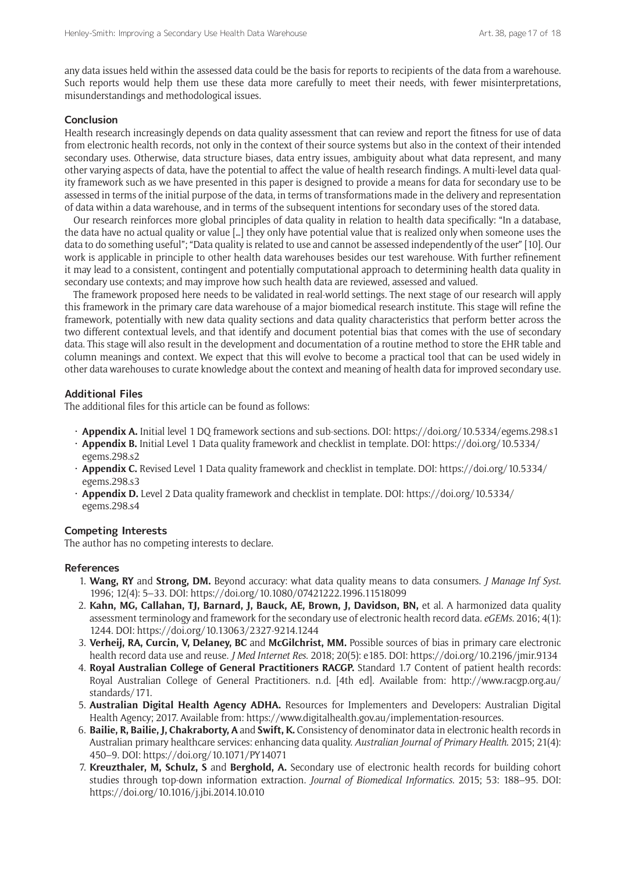any data issues held within the assessed data could be the basis for reports to recipients of the data from a warehouse. Such reports would help them use these data more carefully to meet their needs, with fewer misinterpretations, misunderstandings and methodological issues.

# **Conclusion**

Health research increasingly depends on data quality assessment that can review and report the fitness for use of data from electronic health records, not only in the context of their source systems but also in the context of their intended secondary uses. Otherwise, data structure biases, data entry issues, ambiguity about what data represent, and many other varying aspects of data, have the potential to affect the value of health research findings. A multi-level data quality framework such as we have presented in this paper is designed to provide a means for data for secondary use to be assessed in terms of the initial purpose of the data, in terms of transformations made in the delivery and representation of data within a data warehouse, and in terms of the subsequent intentions for secondary uses of the stored data.

Our research reinforces more global principles of data quality in relation to health data specifically: "In a database, the data have no actual quality or value […] they only have potential value that is realized only when someone uses the data to do something useful"; "Data quality is related to use and cannot be assessed independently of the user" [10]. Our work is applicable in principle to other health data warehouses besides our test warehouse. With further refinement it may lead to a consistent, contingent and potentially computational approach to determining health data quality in secondary use contexts; and may improve how such health data are reviewed, assessed and valued.

The framework proposed here needs to be validated in real-world settings. The next stage of our research will apply this framework in the primary care data warehouse of a major biomedical research institute. This stage will refine the framework, potentially with new data quality sections and data quality characteristics that perform better across the two different contextual levels, and that identify and document potential bias that comes with the use of secondary data. This stage will also result in the development and documentation of a routine method to store the EHR table and column meanings and context. We expect that this will evolve to become a practical tool that can be used widely in other data warehouses to curate knowledge about the context and meaning of health data for improved secondary use.

### **Additional Files**

The additional files for this article can be found as follows:

- **Appendix A.** Initial level 1 DQ framework sections and sub-sections. DOI: <https://doi.org/10.5334/egems.298.s1>
- • **Appendix B.** Initial Level 1 Data quality framework and checklist in template. DOI: [https://doi.org/10.5334/](https://doi.org/10.5334/egems.298.s2) [egems.298.s2](https://doi.org/10.5334/egems.298.s2)
- • **Appendix C.** Revised Level 1 Data quality framework and checklist in template. DOI: [https://doi.org/10.5334/](https://doi.org/10.5334/egems.298.s3) [egems.298.s3](https://doi.org/10.5334/egems.298.s3)
- • **Appendix D.** Level 2 Data quality framework and checklist in template. DOI: [https://doi.org/10.5334/](https://doi.org/10.5334/egems.298.s4) [egems.298.s4](https://doi.org/10.5334/egems.298.s4)

#### **Competing Interests**

The author has no competing interests to declare.

#### **References**

- 1. **Wang, RY** and **Strong, DM.** Beyond accuracy: what data quality means to data consumers. *J Manage Inf Syst*. 1996; 12(4): 5–33. DOI: <https://doi.org/10.1080/07421222.1996.11518099>
- 2. **Kahn, MG, Callahan, TJ, Barnard, J, Bauck, AE, Brown, J, Davidson, BN,** et al. A harmonized data quality assessment terminology and framework for the secondary use of electronic health record data. *eGEMs*. 2016; 4(1): 1244. DOI:<https://doi.org/10.13063/2327-9214.1244>
- 3. **Verheij, RA, Curcin, V, Delaney, BC** and **McGilchrist, MM.** Possible sources of bias in primary care electronic health record data use and reuse. *J Med Internet Res*. 2018; 20(5): e185. DOI: <https://doi.org/10.2196/jmir.9134>
- 4. **Royal Australian College of General Practitioners RACGP.** Standard 1.7 Content of patient health records: Royal Australian College of General Practitioners. n.d. [4th ed]. Available from: [http://www.racgp.org.au/](http://www.racgp.org.au/standards/171) [standards/171.](http://www.racgp.org.au/standards/171)
- 5. **Australian Digital Health Agency ADHA.** Resources for Implementers and Developers: Australian Digital Health Agency; 2017. Available from: <https://www.digitalhealth.gov.au/implementation-resources>.
- 6. **Bailie, R, Bailie, J, Chakraborty, A** and **Swift, K.** Consistency of denominator data in electronic health records in Australian primary healthcare services: enhancing data quality. *Australian Journal of Primary Health*. 2015; 21(4): 450–9. DOI:<https://doi.org/10.1071/PY14071>
- 7. **Kreuzthaler, M, Schulz, S** and **Berghold, A.** Secondary use of electronic health records for building cohort studies through top-down information extraction. *Journal of Biomedical Informatics*. 2015; 53: 188–95. DOI: <https://doi.org/10.1016/j.jbi.2014.10.010>